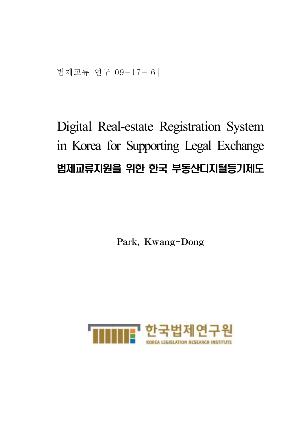법제교류 연구 09-17-6

# Digital Real-estate Registration System in Korea for Supporting Legal Exchange 법제교류지원을 위한 한국 부동산디지털등기제도

Park, Kwang-Dong

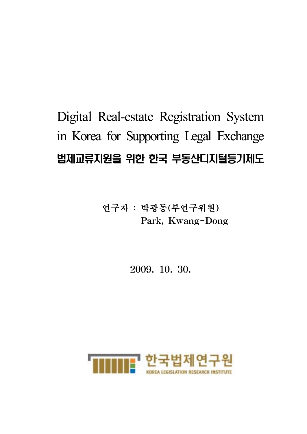# Digital Real-estate Registration System in Korea for Supporting Legal Exchange 법제교류지원을 위한 한국 부동산디지털등기제도

연구자 : 박광동(부연구위원) Park, Kwang-Dong

2009. 10. 30.

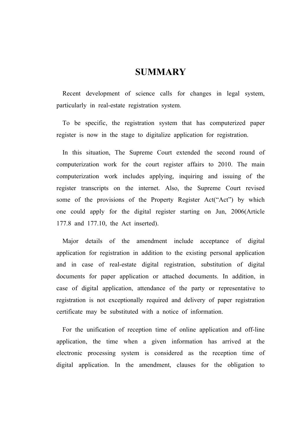## **SUMMARY**

Recent development of science calls for changes in legal system, particularly in real-estate registration system.

To be specific, the registration system that has computerized paper register is now in the stage to digitalize application for registration.

In this situation, The Supreme Court extended the second round of computerization work for the court register affairs to 2010. The main computerization work includes applying, inquiring and issuing of the register transcripts on the internet. Also, the Supreme Court revised some of the provisions of the Property Register Act("Act") by which one could apply for the digital register starting on Jun, 2006(Article 177.8 and 177.10, the Act inserted).

Major details of the amendment include acceptance of digital application for registration in addition to the existing personal application and in case of real-estate digital registration, substitution of digital documents for paper application or attached documents. In addition, in case of digital application, attendance of the party or representative to registration is not exceptionally required and delivery of paper registration certificate may be substituted with a notice of information.

For the unification of reception time of online application and off-line application, the time when a given information has arrived at the electronic processing system is considered as the reception time of digital application. In the amendment, clauses for the obligation to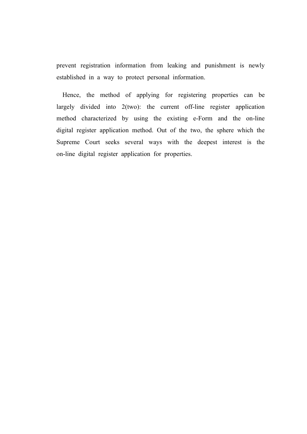prevent registration information from leaking and punishment is newly established in a way to protect personal information.

Hence, the method of applying for registering properties can be largely divided into 2(two): the current off-line register application method characterized by using the existing e-Form and the on-line digital register application method. Out of the two, the sphere which the Supreme Court seeks several ways with the deepest interest is the on-line digital register application for properties.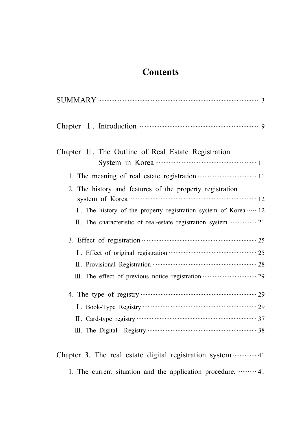## **Contents**

| Chapter $\mathbb I$ . The Outline of Real Estate Registration                               |
|---------------------------------------------------------------------------------------------|
|                                                                                             |
|                                                                                             |
| 2. The history and features of the property registration                                    |
|                                                                                             |
| I. The history of the property registration system of Korea  12                             |
| II. The characteristic of real-estate registration system …………… 21                          |
| 3. Effect of registration <b>contract that the contract of registration</b>                 |
|                                                                                             |
| II. Provisional Registration manufactured and 28                                            |
| III. The effect of previous notice registration <b>·······················</b> ········· 29 |
|                                                                                             |
|                                                                                             |
|                                                                                             |
|                                                                                             |

## Chapter 3. The real estate digital registration system ·············· 41 1. The current situation and the application procedure. ··········· 41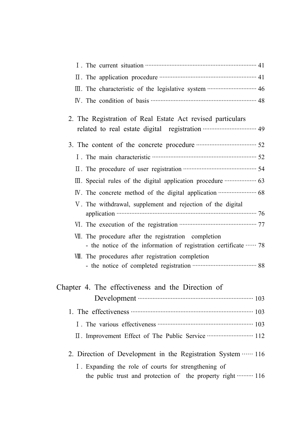| I. The current situation <b>contract the contract of the current</b> situation <b>contract to the current</b> situation                                                                                                             |
|-------------------------------------------------------------------------------------------------------------------------------------------------------------------------------------------------------------------------------------|
| II. The application procedure <b>CONFIDENTIAL SET A</b> 1                                                                                                                                                                           |
| III. The characteristic of the legislative system ······························· 46                                                                                                                                                |
|                                                                                                                                                                                                                                     |
| 2. The Registration of Real Estate Act revised particulars                                                                                                                                                                          |
|                                                                                                                                                                                                                                     |
| 3. The content of the concrete procedure <b>manufacture</b> 52                                                                                                                                                                      |
| I. The main characteristic <b>much contained</b> and the state of the state of the state of the state of the state of the state of the state of the state of the state of the state of the state of the state of the state of the s |
|                                                                                                                                                                                                                                     |
|                                                                                                                                                                                                                                     |
|                                                                                                                                                                                                                                     |
| V. The withdrawal, supplement and rejection of the digital                                                                                                                                                                          |
|                                                                                                                                                                                                                                     |
| VII. The procedure after the registration completion                                                                                                                                                                                |
| - the notice of the information of registration certificate  78                                                                                                                                                                     |
| VII. The procedures after registration completion                                                                                                                                                                                   |
|                                                                                                                                                                                                                                     |
| Chapter 4. The effectiveness and the Direction of                                                                                                                                                                                   |
|                                                                                                                                                                                                                                     |
| 1. The effectiveness <b>CONFIDENT</b> 103                                                                                                                                                                                           |
|                                                                                                                                                                                                                                     |
| II. Improvement Effect of The Public Service ···························· 112                                                                                                                                                       |
|                                                                                                                                                                                                                                     |
| 2. Direction of Development in the Registration System  116                                                                                                                                                                         |
| I. Expanding the role of courts for strengthening of<br>the public trust and protection of the property right  116                                                                                                                  |
|                                                                                                                                                                                                                                     |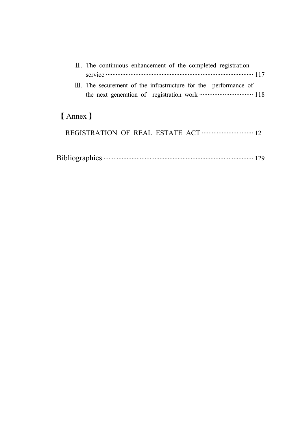| $\Pi$ . The continuous enhancement of the completed registration            |
|-----------------------------------------------------------------------------|
| service $\cdots$ 117                                                        |
| $\mathbb{II}$ . The securement of the infrastructure for the performance of |
|                                                                             |
|                                                                             |
| [ Annex ]                                                                   |
|                                                                             |

|--|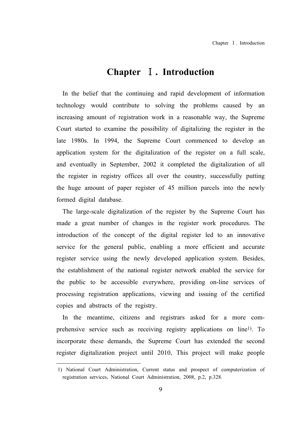## **Chapter** Ⅰ**. Introduction**

In the belief that the continuing and rapid development of information technology would contribute to solving the problems caused by an increasing amount of registration work in a reasonable way, the Supreme Court started to examine the possibility of digitalizing the register in the late 1980s. In 1994, the Supreme Court commenced to develop an application system for the digitalization of the register on a full scale, and eventually in September, 2002 it completed the digitalization of all the register in registry offices all over the country, successfully putting the huge amount of paper register of 45 million parcels into the newly formed digital database.

The large-scale digitalization of the register by the Supreme Court has made a great number of changes in the register work procedures. The introduction of the concept of the digital register led to an innovative service for the general public, enabling a more efficient and accurate register service using the newly developed application system. Besides, the establishment of the national register network enabled the service for the public to be accessible everywhere, providing on-line services of processing registration applications, viewing and issuing of the certified copies and abstracts of the registry.

In the meantime, citizens and registrars asked for a more comprehensive service such as receiving registry applications on line1). To incorporate these demands, the Supreme Court has extended the second register digitalization project until 2010, This project will make people

<sup>1)</sup> National Court Administration, Current status and prospect of computerization of registration services, National Court Administration, 2008, p.2, p.328.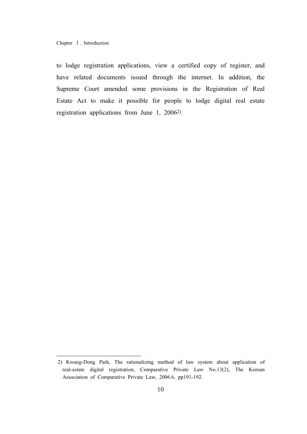Chapter Ⅰ. Introduction

to lodge registration applications, view a certified copy of register, and have related documents issued through the internet. In addition, the Supreme Court amended some provisions in the Registration of Real Estate Act to make it possible for people to lodge digital real estate registration applications from June 1, 20062).

<sup>2)</sup> Kwang-Dong Park, The rationalizing method of law system about application of real-estate digital registration, Comparative Private Law No.13(2), The Korean Association of Comparative Private Law, 2006.6, pp191-192.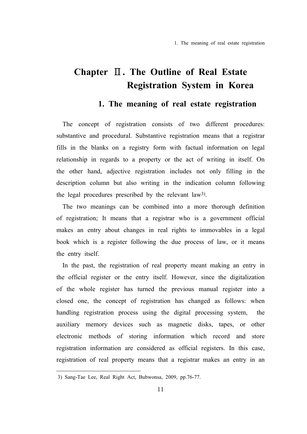## **1. The meaning of real estate registration**

The concept of registration consists of two different procedures: substantive and procedural. Substantive registration means that a registrar fills in the blanks on a registry form with factual information on legal relationship in regards to a property or the act of writing in itself. On the other hand, adjective registration includes not only filling in the description column but also writing in the indication column following the legal procedures prescribed by the relevant law3).

The two meanings can be combined into a more thorough definition of registration; It means that a registrar who is a government official makes an entry about changes in real rights to immovables in a legal book which is a register following the due process of law, or it means the entry itself.

In the past, the registration of real property meant making an entry in the official register or the entry itself. However, since the digitalization of the whole register has turned the previous manual register into a closed one, the concept of registration has changed as follows: when handling registration process using the digital processing system, the auxiliary memory devices such as magnetic disks, tapes, or other electronic methods of storing information which record and store registration information are considered as official registers. In this case, registration of real property means that a registrar makes an entry in an

<sup>3)</sup> Sang-Tae Lee, Real Right Act, Bubwonsa, 2009, pp.76-77.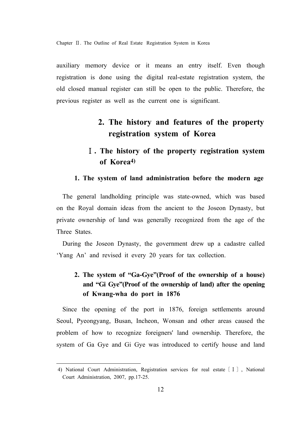auxiliary memory device or it means an entry itself. Even though registration is done using the digital real-estate registration system, the old closed manual register can still be open to the public. Therefore, the previous register as well as the current one is significant.

## **2. The history and features of the property registration system of Korea**

## Ⅰ**. The history of the property registration system of Korea4)**

#### **1. The system of land administration before the modern age**

The general landholding principle was state-owned, which was based on the Royal domain ideas from the ancient to the Joseon Dynasty, but private ownership of land was generally recognized from the age of the Three States.

During the Joseon Dynasty, the government drew up a cadastre called 'Yang An' and revised it every 20 years for tax collection.

## **2. The system of "Ga-Gye"(Proof of the ownership of a house) and "Gi Gye"(Proof of the ownership of land) after the opening of Kwang-wha do port in 1876**

Since the opening of the port in 1876, foreign settlements around Seoul, Pyeongyang, Busan, Incheon, Wonsan and other areas caused the problem of how to recognize foreigners' land ownership. Therefore, the system of Ga Gye and Gi Gye was introduced to certify house and land

<sup>4)</sup> National Court Administration, Registration services for real estate〔Ⅰ〕, National Court Administration, 2007, pp.17-25.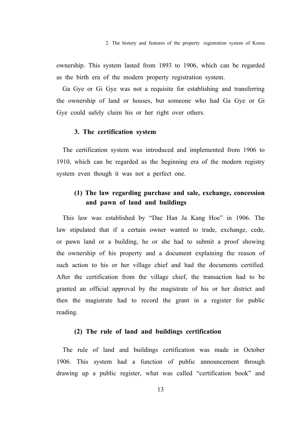ownership. This system lasted from 1893 to 1906, which can be regarded as the birth era of the modern property registration system.

Ga Gye or Gi Gye was not a requisite for establishing and transferring the ownership of land or houses, but someone who had Ga Gye or Gi Gye could safely claim his or her right over others.

#### **3. The certification system**

The certification system was introduced and implemented from 1906 to 1910, which can be regarded as the beginning era of the modern registry system even though it was not a perfect one.

## **(1) The law regarding purchase and sale, exchange, concession and pawn of land and buildings**

This law was established by "Dae Han Ja Kang Hoe" in 1906. The law stipulated that if a certain owner wanted to trade, exchange, cede, or pawn land or a building, he or she had to submit a proof showing the ownership of his property and a document explaining the reason of such action to his or her village chief and had the documents certified. After the certification from the village chief, the transaction had to be granted an official approval by the magistrate of his or her district and then the magistrate had to record the grant in a register for public reading.

#### **(2) The rule of land and buildings certification**

The rule of land and buildings certification was made in October 1906. This system had a function of public announcement through drawing up a public register, what was called "certification book" and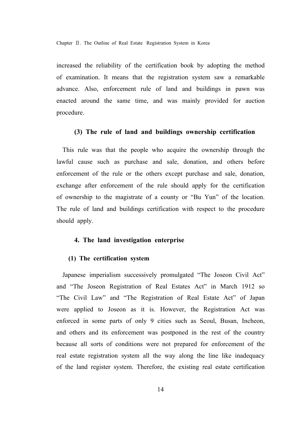increased the reliability of the certification book by adopting the method of examination. It means that the registration system saw a remarkable advance. Also, enforcement rule of land and buildings in pawn was enacted around the same time, and was mainly provided for auction procedure.

#### **(3) The rule of land and buildings ownership certification**

This rule was that the people who acquire the ownership through the lawful cause such as purchase and sale, donation, and others before enforcement of the rule or the others except purchase and sale, donation, exchange after enforcement of the rule should apply for the certification of ownership to the magistrate of a county or "Bu Yun" of the location. The rule of land and buildings certification with respect to the procedure should apply.

#### **4. The land investigation enterprise**

#### **(1) The certification system**

Japanese imperialism successively promulgated "The Joseon Civil Act" and "The Joseon Registration of Real Estates Act" in March 1912 so "The Civil Law" and "The Registration of Real Estate Act" of Japan were applied to Joseon as it is. However, the Registration Act was enforced in some parts of only 9 cities such as Seoul, Busan, Incheon, and others and its enforcement was postponed in the rest of the country because all sorts of conditions were not prepared for enforcement of the real estate registration system all the way along the line like inadequacy of the land register system. Therefore, the existing real estate certification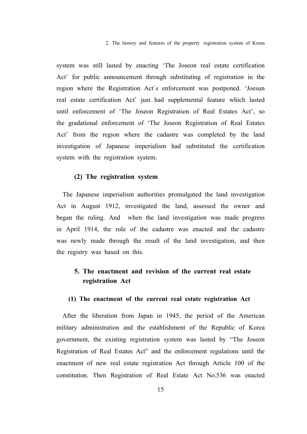2. The history and features of the property registration system of Korea

system was still lasted by enacting 'The Joseon real estate certification Act' for public announcement through substituting of registration in the region where the Registration Act`s enforcement was postponed. 'Joesun real estate certification Act' just had supplemental feature which lasted until enforcement of 'The Joseon Registration of Real Estates Act', so the gradational enforcement of 'The Joseon Registration of Real Estates Act' from the region where the cadastre was completed by the land investigation of Japanese imperialism had substituted the certification system with the registration system.

#### **(2) The registration system**

The Japanese imperialism authorities promulgated the land investigation Act in August 1912, investigated the land, assessed the owner and began the ruling. And when the land investigation was made progress in April 1914, the rule of the cadastre was enacted and the cadastre was newly made through the result of the land investigation, and then the registry was based on this.

## **5. The enactment and revision of the current real estate registration Act**

#### **(1) The enactment of the current real estate registration Act**

After the liberation from Japan in 1945, the period of the American military administration and the establishment of the Republic of Korea government, the existing registration system was lasted by "The Joseon Registration of Real Estates Act" and the enforcement regulations until the enactment of new real estate registration Act through Article 100 of the constitution. Then Registration of Real Estate Act No.536 was enacted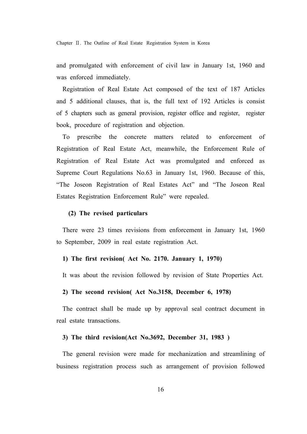and promulgated with enforcement of civil law in January 1st, 1960 and was enforced immediately.

Registration of Real Estate Act composed of the text of 187 Articles and 5 additional clauses, that is, the full text of 192 Articles is consist of 5 chapters such as general provision, register office and register, register book, procedure of registration and objection.

To prescribe the concrete matters related to enforcement of Registration of Real Estate Act, meanwhile, the Enforcement Rule of Registration of Real Estate Act was promulgated and enforced as Supreme Court Regulations No.63 in January 1st, 1960. Because of this, "The Joseon Registration of Real Estates Act" and "The Joseon Real Estates Registration Enforcement Rule" were repealed.

#### **(2) The revised particulars**

There were 23 times revisions from enforcement in January 1st, 1960 to September, 2009 in real estate registration Act.

#### **1) The first revision( Act No. 2170. January 1, 1970)**

It was about the revision followed by revision of State Properties Act.

#### **2) The second revision( Act No.3158, December 6, 1978)**

The contract shall be made up by approval seal contract document in real estate transactions.

#### **3) The third revision(Act No.3692, December 31, 1983 )**

The general revision were made for mechanization and streamlining of business registration process such as arrangement of provision followed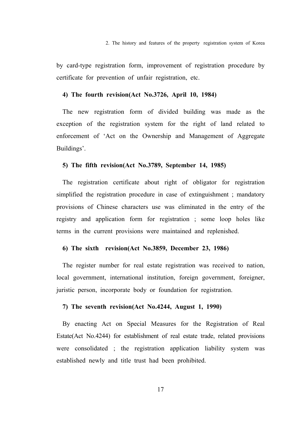by card-type registration form, improvement of registration procedure by certificate for prevention of unfair registration, etc.

#### **4) The fourth revision(Act No.3726, April 10, 1984)**

The new registration form of divided building was made as the exception of the registration system for the right of land related to enforcement of 'Act on the Ownership and Management of Aggregate Buildings'.

#### **5) The fifth revision(Act No.3789, September 14, 1985)**

The registration certificate about right of obligator for registration simplified the registration procedure in case of extinguishment ; mandatory provisions of Chinese characters use was eliminated in the entry of the registry and application form for registration ; some loop holes like terms in the current provisions were maintained and replenished.

#### **6) The sixth revision(Act No.3859, December 23, 1986)**

The register number for real estate registration was received to nation, local government, international institution, foreign government, foreigner, juristic person, incorporate body or foundation for registration.

#### **7) The seventh revision(Act No.4244, August 1, 1990)**

By enacting Act on Special Measures for the Registration of Real Estate(Act No.4244) for establishment of real estate trade, related provisions were consolidated ; the registration application liability system was established newly and title trust had been prohibited.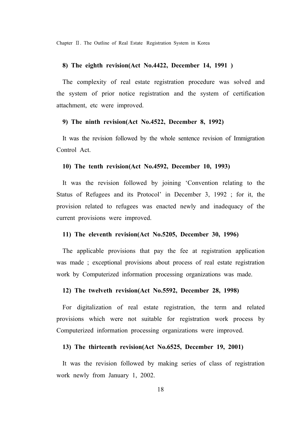#### **8) The eighth revision(Act No.4422, December 14, 1991 )**

The complexity of real estate registration procedure was solved and the system of prior notice registration and the system of certification attachment, etc were improved.

#### **9) The ninth revision(Act No.4522, December 8, 1992)**

It was the revision followed by the whole sentence revision of Immigration Control Act.

#### **10) The tenth revision(Act No.4592, December 10, 1993)**

It was the revision followed by joining 'Convention relating to the Status of Refugees and its Protocol' in December 3, 1992 ; for it, the provision related to refugees was enacted newly and inadequacy of the current provisions were improved.

#### **11) The eleventh revision(Act No.5205, December 30, 1996)**

The applicable provisions that pay the fee at registration application was made ; exceptional provisions about process of real estate registration work by Computerized information processing organizations was made.

#### **12) The twelveth revision(Act No.5592, December 28, 1998)**

For digitalization of real estate registration, the term and related provisions which were not suitable for registration work process by Computerized information processing organizations were improved.

#### **13) The thirteenth revision(Act No.6525, December 19, 2001)**

It was the revision followed by making series of class of registration work newly from January 1, 2002.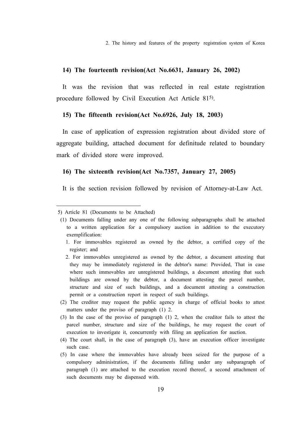2. The history and features of the property registration system of Korea

#### **14) The fourteenth revision(Act No.6631, January 26, 2002)**

It was the revision that was reflected in real estate registration procedure followed by Civil Execution Act Article 815).

#### **15) The fifteenth revision(Act No.6926, July 18, 2003)**

In case of application of expression registration about divided store of aggregate building, attached document for definitude related to boundary mark of divided store were improved.

#### **16) The sixteenth revision(Act No.7357, January 27, 2005)**

It is the section revision followed by revision of Attorney-at-Law Act.

<sup>5)</sup> Article 81 (Documents to be Attached)

 <sup>(1)</sup> Documents falling under any one of the following subparagraphs shall be attached to a written application for a compulsory auction in addition to the executory exemplification:

 <sup>1.</sup> For immovables registered as owned by the debtor, a certified copy of the register; and

 <sup>2.</sup> For immovables unregistered as owned by the debtor, a document attesting that they may be immediately registered in the debtor's name: Provided, That in case where such immovables are unregistered buildings, a document attesting that such buildings are owned by the debtor, a document attesting the parcel number, structure and size of such buildings, and a document attesting a construction permit or a construction report in respect of such buildings.

 <sup>(2)</sup> The creditor may request the public agency in charge of official books to attest matters under the proviso of paragraph (1) 2.

 <sup>(3)</sup> In the case of the proviso of paragraph (1) 2, when the creditor fails to attest the parcel number, structure and size of the buildings, he may request the court of execution to investigate it, concurrently with filing an application for auction.

 <sup>(4)</sup> The court shall, in the case of paragraph (3), have an execution officer investigate such case.

 <sup>(5)</sup> In case where the immovables have already been seized for the purpose of a compulsory administration, if the documents falling under any subparagraph of paragraph (1) are attached to the execution record thereof, a second attachment of such documents may be dispensed with.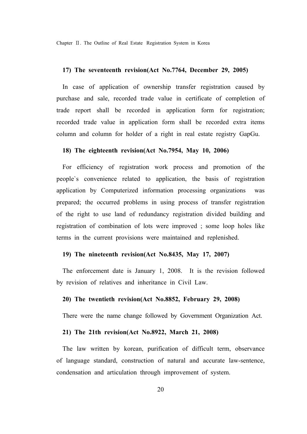#### **17) The seventeenth revision(Act No.7764, December 29, 2005)**

In case of application of ownership transfer registration caused by purchase and sale, recorded trade value in certificate of completion of trade report shall be recorded in application form for registration; recorded trade value in application form shall be recorded extra items column and column for holder of a right in real estate registry GapGu.

#### **18) The eighteenth revision(Act No.7954, May 10, 2006)**

For efficiency of registration work process and promotion of the people`s convenience related to application, the basis of registration application by Computerized information processing organizations was prepared; the occurred problems in using process of transfer registration of the right to use land of redundancy registration divided building and registration of combination of lots were improved ; some loop holes like terms in the current provisions were maintained and replenished.

#### **19) The nineteenth revision(Act No.8435, May 17, 2007)**

The enforcement date is January 1, 2008. It is the revision followed by revision of relatives and inheritance in Civil Law.

#### **20) The twentieth revision(Act No.8852, February 29, 2008)**

There were the name change followed by Government Organization Act.

#### **21) The 21th revision(Act No.8922, March 21, 2008)**

The law written by korean, purification of difficult term, observance of language standard, construction of natural and accurate law-sentence, condensation and articulation through improvement of system.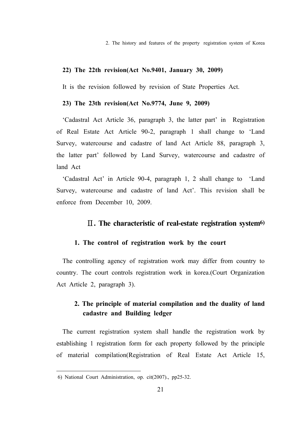2. The history and features of the property registration system of Korea

#### **22) The 22th revision(Act No.9401, January 30, 2009)**

It is the revision followed by revision of State Properties Act.

#### **23) The 23th revision(Act No.9774, June 9, 2009)**

'Cadastral Act Article 36, paragraph 3, the latter part' in Registration of Real Estate Act Article 90-2, paragraph 1 shall change to 'Land Survey, watercourse and cadastre of land Act Article 88, paragraph 3, the latter part' followed by Land Survey, watercourse and cadastre of land Act

'Cadastral Act' in Article 90-4, paragraph 1, 2 shall change to 'Land Survey, watercourse and cadastre of land Act'. This revision shall be enforce from December 10, 2009.

#### Ⅱ**. The characteristic of real-estate registration system6)**

#### **1. The control of registration work by the court**

The controlling agency of registration work may differ from country to country. The court controls registration work in korea.(Court Organization Act Article 2, paragraph 3).

### **2. The principle of material compilation and the duality of land cadastre and Building ledger**

The current registration system shall handle the registration work by establishing 1 registration form for each property followed by the principle of material compilation(Registration of Real Estate Act Article 15,

<sup>6)</sup> National Court Administration, op. cit(2007)., pp25-32.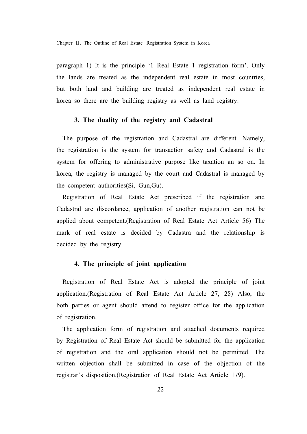paragraph 1) It is the principle '1 Real Estate 1 registration form'. Only the lands are treated as the independent real estate in most countries, but both land and building are treated as independent real estate in korea so there are the building registry as well as land registry.

#### **3. The duality of the registry and Cadastral**

The purpose of the registration and Cadastral are different. Namely, the registration is the system for transaction safety and Cadastral is the system for offering to administrative purpose like taxation an so on. In korea, the registry is managed by the court and Cadastral is managed by the competent authorities(Si, Gun,Gu).

Registration of Real Estate Act prescribed if the registration and Cadastral are discordance, application of another registration can not be applied about competent.(Registration of Real Estate Act Article 56) The mark of real estate is decided by Cadastra and the relationship is decided by the registry.

#### **4. The principle of joint application**

Registration of Real Estate Act is adopted the principle of joint application.(Registration of Real Estate Act Article 27, 28) Also, the both parties or agent should attend to register office for the application of registration.

The application form of registration and attached documents required by Registration of Real Estate Act should be submitted for the application of registration and the oral application should not be permitted. The written objection shall be submitted in case of the objection of the registrar`s disposition.(Registration of Real Estate Act Article 179).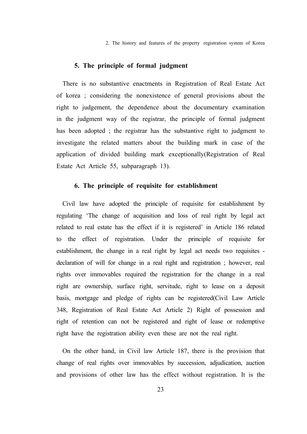2. The history and features of the property registration system of Korea

#### **5. The principle of formal judgment**

There is no substantive enactments in Registration of Real Estate Act of korea ; considering the nonexistence of general provisions about the right to judgement, the dependence about the documentary examination in the judgment way of the registrar, the principle of formal judgment has been adopted ; the registrar has the substantive right to judgment to investigate the related matters about the building mark in case of the application of divided building mark exceptionally(Registration of Real Estate Act Article 55, subparagraph 13).

#### **6. The principle of requisite for establishment**

Civil law have adopted the principle of requisite for establishment by regulating 'The change of acquisition and loss of real right by legal act related to real estate has the effect if it is registered' in Article 186 related to the effect of registration. Under the principle of requisite for establishment, the change in a real right by legal act needs two requisites declaration of will for change in a real right and registration ; however, real rights over immovables required the registration for the change in a real right are ownership, surface right, servitude, right to lease on a deposit basis, mortgage and pledge of rights can be registered(Civil Law Article 348, Registration of Real Estate Act Article 2) Right of possession and right of retention can not be registered and right of lease or redemptive right have the registration ability even these are not the real right.

On the other hand, in Civil law Article 187, there is the provision that change of real rights over immovables by succession, adjudication, auction and provisions of other law has the effect without registration. It is the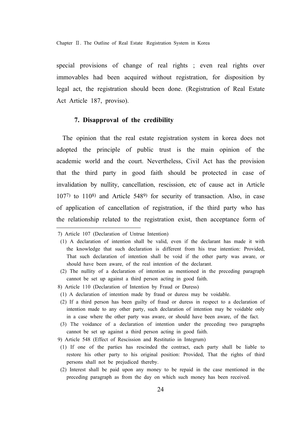special provisions of change of real rights ; even real rights over immovables had been acquired without registration, for disposition by legal act, the registration should been done. (Registration of Real Estate Act Article 187, proviso).

#### **7. Disapproval of the credibility**

The opinion that the real estate registration system in korea does not adopted the principle of public trust is the main opinion of the academic world and the court. Nevertheless, Civil Act has the provision that the third party in good faith should be protected in case of invalidation by nullity, cancellation, rescission, etc of cause act in Article 1077) to 1108) and Article 5489) for security of transaction. Also, in case of application of cancellation of registration, if the third party who has the relationship related to the registration exist, then acceptance form of

- 8) Article 110 (Declaration of Intention by Fraud or Duress)
- (1) A declaration of intention made by fraud or duress may be voidable.
- (2) If a third person has been guilty of fraud or duress in respect to a declaration of intention made to any other party, such declaration of intention may be voidable only in a case where the other party was aware, or should have been aware, of the fact.
- (3) The voidance of a declaration of intention under the preceding two paragraphs cannot be set up against a third person acting in good faith.
- 9) Article 548 (Effect of Rescission and Restitutio in Integrum)
- (1) If one of the parties has rescinded the contract, each party shall be liable to restore his other party to his original position: Provided, That the rights of third persons shall not be prejudiced thereby.
- (2) Interest shall be paid upon any money to be repaid in the case mentioned in the preceding paragraph as from the day on which such money has been received.

<sup>7)</sup> Article 107 (Declaration of Untrue Intention)

 <sup>(1)</sup> A declaration of intention shall be valid, even if the declarant has made it with the knowledge that such declaration is different from his true intention: Provided, That such declaration of intention shall be void if the other party was aware, or should have been aware, of the real intention of the declarant.

 <sup>(2)</sup> The nullity of a declaration of intention as mentioned in the preceding paragraph cannot be set up against a third person acting in good faith.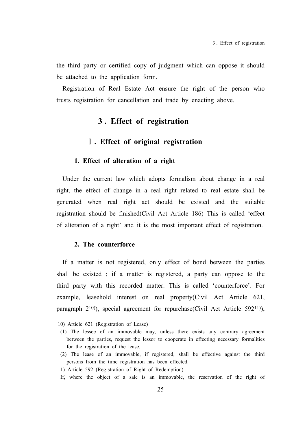the third party or certified copy of judgment which can oppose it should be attached to the application form.

Registration of Real Estate Act ensure the right of the person who trusts registration for cancellation and trade by enacting above.

## **3 . Effect of registration**

#### Ⅰ**. Effect of original registration**

#### **1. Effect of alteration of a right**

Under the current law which adopts formalism about change in a real right, the effect of change in a real right related to real estate shall be generated when real right act should be existed and the suitable registration should be finished(Civil Act Article 186) This is called 'effect of alteration of a right' and it is the most important effect of registration.

#### **2. The counterforce**

If a matter is not registered, only effect of bond between the parties shall be existed ; if a matter is registered, a party can oppose to the third party with this recorded matter. This is called 'counterforce'. For example, leasehold interest on real property(Civil Act Article 621, paragraph 2<sup>10</sup>), special agreement for repurchase(Civil Act Article 592<sup>11</sup>),

<sup>10)</sup> Article 621 (Registration of Lease)

 <sup>(1)</sup> The lessee of an immovable may, unless there exists any contrary agreement between the parties, request the lessor to cooperate in effecting necessary formalities for the registration of the lease.

 <sup>(2)</sup> The lease of an immovable, if registered, shall be effective against the third persons from the time registration has been effected.

<sup>11)</sup> Article 592 (Registration of Right of Redemption)

If, where the object of a sale is an immovable, the reservation of the right of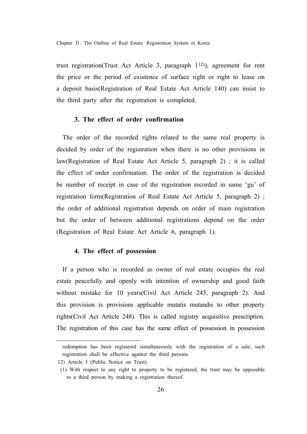trust registration(Trust Act Article 3, paragraph 112)), agreement for rent the price or the period of existence of surface right or right to lease on a deposit basis(Registration of Real Estate Act Article 140) can insist to the third party after the registration is completed.

#### **3. The effect of order confirmation**

The order of the recorded rights related to the same real property is decided by order of the registration when there is no other provisions in law(Registration of Real Estate Act Article 5, paragraph 2) ; it is called the effect of order confirmation. The order of the registration is decided be number of receipt in case of the registration recorded in same 'gu' of registration form(Registration of Real Estate Act Article 5, paragraph 2) ; the order of additional registration depends on order of main registration but the order of between additional registrations depend on the order (Registration of Real Estate Act Article 6, paragraph 1).

#### **4. The effect of possession**

If a person who is recorded as owner of real estate occupies the real estate peacefully and openly with intention of ownership and good faith without mistake for 10 years(Civil Act Article 245, paragraph 2). And this provision is provisions applicable mutatis mutandis to other property rights(Civil Act Article 248). This is called registry acquisitive prescription. The registration of this case has the same effect of possession in possession

redemption has been registered simultaneously with the registration of a sale, such registration shall be effective against the third persons.

<sup>12)</sup> Article 3 (Public Notice on Trust)

 <sup>(1)</sup> With respect to any right to property to be registered, the trust may be opposable to a third person by making a registration thereof.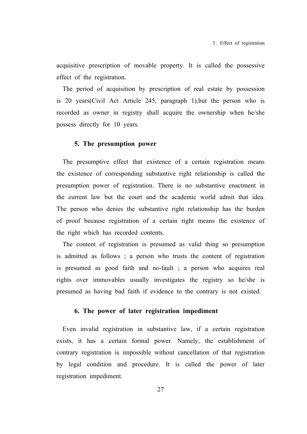acquisitive prescription of movable property. It is called the possessive effect of the registration.

The period of acquisition by prescription of real estate by possession is 20 years(Civil Act Article 245, paragraph 1),but the person who is recorded as owner in registry shall acquire the ownership when he/she possess directly for 10 years.

#### **5. The presumption power**

The presumptive effect that existence of a certain registration means the existence of corresponding substantive right relationship is called the presumption power of registration. There is no substantive enactment in the current law but the court and the academic world admit that idea. The person who denies the substantive right relationship has the burden of proof because registration of a certain right means the existence of the right which has recorded contents.

The content of registration is presumed as valid thing so presumption is admitted as follows ; a person who trusts the content of registration is presumed as good faith and no-fault ; a person who acquires real rights over immovables usually investigates the registry so he/she is presumed as having bad faith if evidence to the contrary is not existed.

#### **6. The power of later registration impediment**

Even invalid registration in substantive law, if a certain registration exists, it has a certain formal power. Namely, the establishment of contrary registration is impossible without cancellation of that registration by legal condition and procedure. It is called the power of later registration impediment.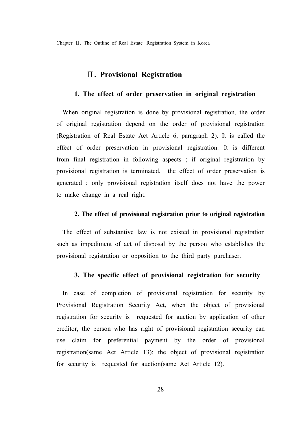### Ⅱ**. Provisional Registration**

#### **1. The effect of order preservation in original registration**

When original registration is done by provisional registration, the order of original registration depend on the order of provisional registration (Registration of Real Estate Act Article 6, paragraph 2). It is called the effect of order preservation in provisional registration. It is different from final registration in following aspects ; if original registration by provisional registration is terminated, the effect of order preservation is generated ; only provisional registration itself does not have the power to make change in a real right.

#### **2. The effect of provisional registration prior to original registration**

The effect of substantive law is not existed in provisional registration such as impediment of act of disposal by the person who establishes the provisional registration or opposition to the third party purchaser.

#### **3. The specific effect of provisional registration for security**

In case of completion of provisional registration for security by Provisional Registration Security Act, when the object of provisional registration for security is requested for auction by application of other creditor, the person who has right of provisional registration security can use claim for preferential payment by the order of provisional registration(same Act Article 13); the object of provisional registration for security is requested for auction(same Act Article 12).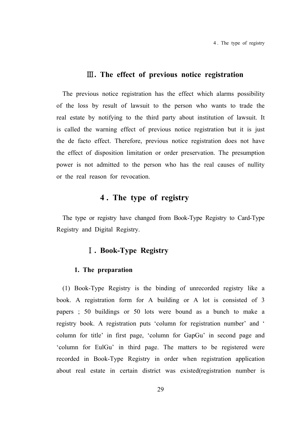#### Ⅲ**. The effect of previous notice registration**

The previous notice registration has the effect which alarms possibility of the loss by result of lawsuit to the person who wants to trade the real estate by notifying to the third party about institution of lawsuit. It is called the warning effect of previous notice registration but it is just the de facto effect. Therefore, previous notice registration does not have the effect of disposition limitation or order preservation. The presumption power is not admitted to the person who has the real causes of nullity or the real reason for revocation.

## **4 . The type of registry**

The type or registry have changed from Book-Type Registry to Card-Type Registry and Digital Registry.

### Ⅰ**. Book-Type Registry**

#### **1. The preparation**

(1) Book-Type Registry is the binding of unrecorded registry like a book. A registration form for A building or A lot is consisted of 3 papers ; 50 buildings or 50 lots were bound as a bunch to make a registry book. A registration puts 'column for registration number' and ' column for title' in first page, 'column for GapGu' in second page and 'column for EulGu' in third page. The matters to be registered were recorded in Book-Type Registry in order when registration application about real estate in certain district was existed(registration number is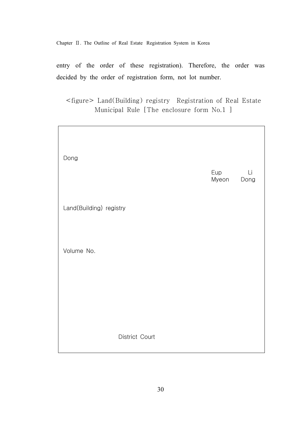entry of the order of these registration). Therefore, the order was decided by the order of registration form, not lot number.

<figure> Land(Building) registry Registration of Real Estate Municipal Rule [The enclosure form No.1 ]

| Dong                    | Eup<br>Myeon | Li<br>Dong |
|-------------------------|--------------|------------|
| Land(Building) registry |              |            |
| Volume No.              |              |            |
|                         |              |            |
| District Court          |              |            |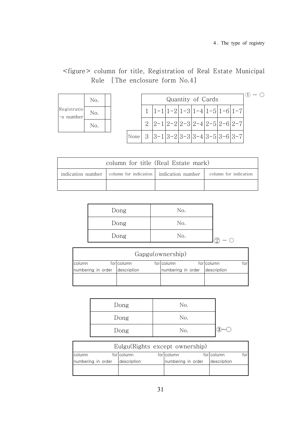$\sim$   $\bigcirc$ 

## <figure> column for title, Registration of Real Estate Municipal Rule [The enclosure form No.4]

|                          | No. |  |
|--------------------------|-----|--|
| Registratio<br>-n number | No. |  |
|                          | No. |  |

|      | Quantity of Cards                                                           |  |  |  |  |  |  |  |
|------|-----------------------------------------------------------------------------|--|--|--|--|--|--|--|
|      | $\left[1-1\right 1-2\left 1-3\right 1-4\left 1-5\right 1-6\left 1-7\right $ |  |  |  |  |  |  |  |
|      | $ 2-1 2-2 2-3 2-4 2-5 2-6 2-7$                                              |  |  |  |  |  |  |  |
| None | $3 3-1 3-2 3-3 3-4 3-5 3-6 3-7 $                                            |  |  |  |  |  |  |  |

| column for title (Real Estate mark)                                                                     |  |  |  |  |  |  |
|---------------------------------------------------------------------------------------------------------|--|--|--|--|--|--|
| indication number $\vert$ column for indication $\vert$ indication number $\vert$ column for indication |  |  |  |  |  |  |
|                                                                                                         |  |  |  |  |  |  |

| Dong | No. |  |
|------|-----|--|
| Dong | No. |  |
| Dong | No. |  |

| Gapgu(ownership)                                 |             |  |                    |  |             |  |  |  |
|--------------------------------------------------|-------------|--|--------------------|--|-------------|--|--|--|
| forlcolumn<br>forlcolumn<br>forlcolumn<br>column |             |  |                    |  |             |  |  |  |
| numbering in order                               | description |  | numbering in order |  | description |  |  |  |
|                                                  |             |  |                    |  |             |  |  |  |
|                                                  |             |  |                    |  |             |  |  |  |

| Dong | No. |   |
|------|-----|---|
| Dong | No. |   |
| Dong | No. | ົ |

| Eulgu(Rights except ownership) |             |  |                     |  |             |  |  |
|--------------------------------|-------------|--|---------------------|--|-------------|--|--|
| column                         | forlcolumn  |  | forlcolumn          |  | forlcolumn  |  |  |
| numbering in order             | description |  | Inumbering in order |  | description |  |  |
|                                |             |  |                     |  |             |  |  |
|                                |             |  |                     |  |             |  |  |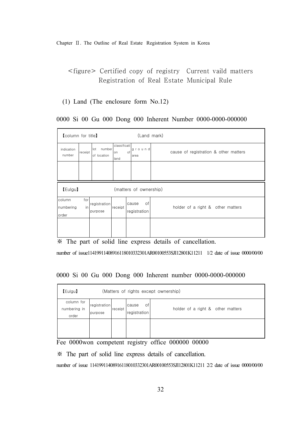## <figure> Certified copy of registry Current vaild matters Registration of Real Estate Municipal Rule

#### (1) Land (The enclosure form No.12)

#### 0000 Si 00 Gu 000 Dong 000 Inherent Number 0000-0000-000000

| <b>[column for title]</b>    |            |                           |                            | (Land mark)                 |                                       |
|------------------------------|------------|---------------------------|----------------------------|-----------------------------|---------------------------------------|
| indication<br>number         | receipt    | lot number<br>of location | classificati<br>on<br>land | ground<br>of<br>larea       | cause of registration & other matters |
|                              |            |                           |                            |                             |                                       |
| [Eulgu]                      |            |                           |                            | (matters of ownership)      |                                       |
| column<br>numbering<br>order | for<br>inl | registration<br>purpose   | receipt                    | οf<br>cause<br>registration | holder of a right & other matters     |
|                              |            |                           |                            |                             |                                       |

※ The part of solid line express details of cancellation.

number of issue11419911408916118010332301AR00100553SJI12801K11211 1/2 date of issue 0000/00/00

#### 0000 Si 00 Gu 000 Dong 000 Inherent number 0000-0000-000000

| [Eulgu]                             | (Matters of rights except ownership) |         |                             |                                   |  |  |  |  |  |
|-------------------------------------|--------------------------------------|---------|-----------------------------|-----------------------------------|--|--|--|--|--|
| column for<br>numbering in<br>order | registration<br>purpose              | receipt | οf<br>cause<br>registration | holder of a right & other matters |  |  |  |  |  |
|                                     |                                      |         |                             |                                   |  |  |  |  |  |

Fee 0000won competent registry office 000000 00000

※ The part of solid line express details of cancellation.

number of issue 11419911408916118010332301AR00100553SJI12801K11211 2/2 date of issue 0000/00/00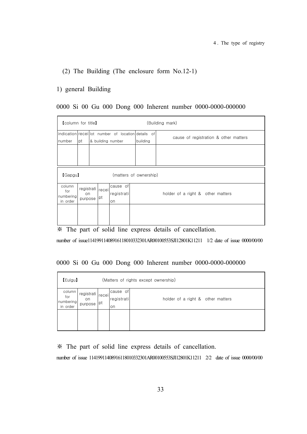#### (2) The Building (The enclosure form No.12-1)

#### 1) general Building

#### 0000 Si 00 Gu 000 Dong 000 Inherent number 0000-0000-000000

| <b>[column for title]</b>              |               |                          |                              |                                                                 | (Building mark)                       |
|----------------------------------------|---------------|--------------------------|------------------------------|-----------------------------------------------------------------|---------------------------------------|
| number                                 | pt            |                          | & building number            | indication receil lot number of location details of<br>building | cause of registration & other matters |
|                                        |               |                          |                              |                                                                 |                                       |
| [Gapgu]                                |               |                          |                              | (matters of ownership)                                          |                                       |
| column<br>for<br>numbering<br>in order | on<br>purpose | registrati receil<br> pt | cause of<br>registrati<br>on |                                                                 | holder of a right & other matters     |
|                                        |               |                          |                              |                                                                 |                                       |

※ The part of solid line express details of cancellation.

number of issue11419911408916118010332301AR00100553SJI12801K11211 1/2 date of issue 0000/00/00

#### 0000 Si 00 Gu 000 Dong 000 Inherent number 0000-0000-000000

| [Eulgu]                                |                                     | (Matters of rights except ownership) |                              |                                   |
|----------------------------------------|-------------------------------------|--------------------------------------|------------------------------|-----------------------------------|
| column<br>for<br>numbering<br>in order | registrati receil<br>on.<br>purpose | pt                                   | cause of<br>registrati<br>on | holder of a right & other matters |
|                                        |                                     |                                      |                              |                                   |

※ The part of solid line express details of cancellation.

number of issue 11419911408916118010332301AR00100553SJI12801K11211 2/2 date of issue 0000/00/00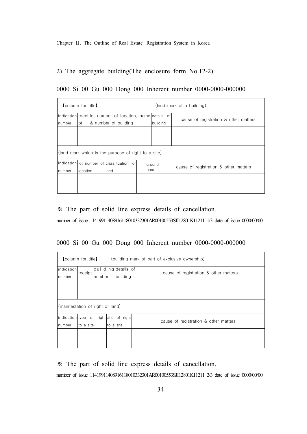2) The aggregate building(The enclosure form No.12-2)

|  |  |  |  | 0000 Si 00 Gu 000 Dong 000 Inherent number 0000-0000-000000 |
|--|--|--|--|-------------------------------------------------------------|
|  |  |  |  |                                                             |

| <b>[column for title]</b> |                                            |              |                                                           |        | (land mark of a building)             |  |                                       |  |
|---------------------------|--------------------------------------------|--------------|-----------------------------------------------------------|--------|---------------------------------------|--|---------------------------------------|--|
|                           |                                            |              | indication receil lot number of location, name details of |        |                                       |  | cause of registration & other matters |  |
| number                    | pt                                         |              | 8 number of building                                      |        | building                              |  |                                       |  |
|                           |                                            |              |                                                           |        |                                       |  |                                       |  |
|                           |                                            |              | (land mark which is the purpose of right to a site)       |        |                                       |  |                                       |  |
|                           | Indication lot number of classification of |              |                                                           | ground | cause of registration & other matters |  |                                       |  |
| number                    | llocation                                  | area<br>land |                                                           |        |                                       |  |                                       |  |
|                           |                                            |              |                                                           |        |                                       |  |                                       |  |

※ The part of solid line express details of cancellation.

number of issue 11419911408916118010332301AR00100553SJI12801K11211 1/3 date of issue 0000/00/00

0000 Si 00 Gu 000 Dong 000 Inherent number 0000-0000-000000

| $\mathsf I$ column for title $\mathsf I$<br>(building mark of part of exclusive ownership) |                                  |                     |  |          |                                       |  |  |  |  |  |  |
|--------------------------------------------------------------------------------------------|----------------------------------|---------------------|--|----------|---------------------------------------|--|--|--|--|--|--|
| indication                                                                                 | receipt                          | building details of |  |          |                                       |  |  |  |  |  |  |
| number                                                                                     |                                  | number              |  | building | cause of registration & other matters |  |  |  |  |  |  |
|                                                                                            |                                  |                     |  |          |                                       |  |  |  |  |  |  |
|                                                                                            |                                  |                     |  |          |                                       |  |  |  |  |  |  |
|                                                                                            | (manifestation of right of land) |                     |  |          |                                       |  |  |  |  |  |  |
| indication type of right atio of right                                                     |                                  |                     |  |          |                                       |  |  |  |  |  |  |
| number                                                                                     | lto a site                       | lto a site          |  |          | cause of registration & other matters |  |  |  |  |  |  |
|                                                                                            |                                  |                     |  |          |                                       |  |  |  |  |  |  |

※ The part of solid line express details of cancellation.

number of issue 11419911408916118010332301AR00100553SJI12801K11211 2/3 date of issue 0000/00/00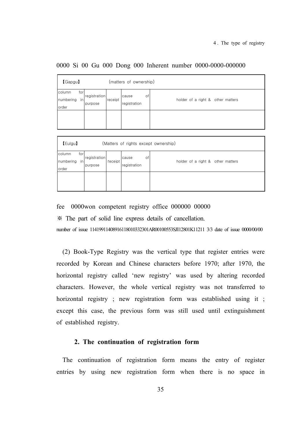| $\lceil$ Gapgu $\rceil$      |                                      |         | (matters of ownership)      |                                   |  |  |  |  |  |  |
|------------------------------|--------------------------------------|---------|-----------------------------|-----------------------------------|--|--|--|--|--|--|
| column<br>numbering<br>order | for<br>registration<br>in<br>purpose | receipt | οf<br>cause<br>registration | holder of a right & other matters |  |  |  |  |  |  |
|                              |                                      |         |                             |                                   |  |  |  |  |  |  |
| [Eulgu]                      | (Matters of rights except ownership) |         |                             |                                   |  |  |  |  |  |  |
| column<br>numbering<br>order | for<br>registration<br>in<br>purpose | receipt | cause<br>оf<br>registration | holder of a right & other matters |  |  |  |  |  |  |

0000 Si 00 Gu 000 Dong 000 Inherent number 0000-0000-000000

fee 0000won competent registry office 000000 00000

※ The part of solid line express details of cancellation.

number of issue 11419911408916118010332301AR00100553SJI12801K11211 3/3 date of issue 0000/00/00

(2) Book-Type Registry was the vertical type that register entries were recorded by Korean and Chinese characters before 1970; after 1970, the horizontal registry called 'new registry' was used by altering recorded characters. However, the whole vertical registry was not transferred to horizontal registry ; new registration form was established using it ; except this case, the previous form was still used until extinguishment of established registry.

#### **2. The continuation of registration form**

The continuation of registration form means the entry of register entries by using new registration form when there is no space in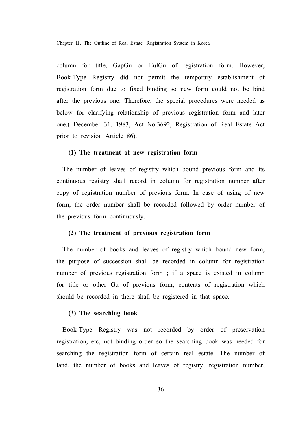column for title, GapGu or EulGu of registration form. However, Book-Type Registry did not permit the temporary establishment of registration form due to fixed binding so new form could not be bind after the previous one. Therefore, the special procedures were needed as below for clarifying relationship of previous registration form and later one.( December 31, 1983, Act No.3692, Registration of Real Estate Act prior to revision Article 86).

#### **(1) The treatment of new registration form**

The number of leaves of registry which bound previous form and its continuous registry shall record in column for registration number after copy of registration number of previous form. In case of using of new form, the order number shall be recorded followed by order number of the previous form continuously.

#### **(2) The treatment of previous registration form**

The number of books and leaves of registry which bound new form, the purpose of succession shall be recorded in column for registration number of previous registration form ; if a space is existed in column for title or other Gu of previous form, contents of registration which should be recorded in there shall be registered in that space.

#### **(3) The searching book**

Book-Type Registry was not recorded by order of preservation registration, etc, not binding order so the searching book was needed for searching the registration form of certain real estate. The number of land, the number of books and leaves of registry, registration number,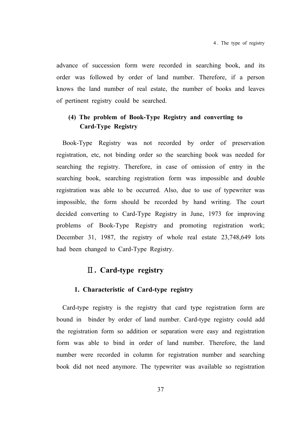advance of succession form were recorded in searching book, and its order was followed by order of land number. Therefore, if a person knows the land number of real estate, the number of books and leaves of pertinent registry could be searched.

## **(4) The problem of Book-Type Registry and converting to Card-Type Registry**

Book-Type Registry was not recorded by order of preservation registration, etc, not binding order so the searching book was needed for searching the registry. Therefore, in case of omission of entry in the searching book, searching registration form was impossible and double registration was able to be occurred. Also, due to use of typewriter was impossible, the form should be recorded by hand writing. The court decided converting to Card-Type Registry in June, 1973 for improving problems of Book-Type Registry and promoting registration work; December 31, 1987, the registry of whole real estate 23,748,649 lots had been changed to Card-Type Registry.

## Ⅱ**. Card-type registry**

#### **1. Characteristic of Card-type registry**

Card-type registry is the registry that card type registration form are bound in binder by order of land number. Card-type registry could add the registration form so addition or separation were easy and registration form was able to bind in order of land number. Therefore, the land number were recorded in column for registration number and searching book did not need anymore. The typewriter was available so registration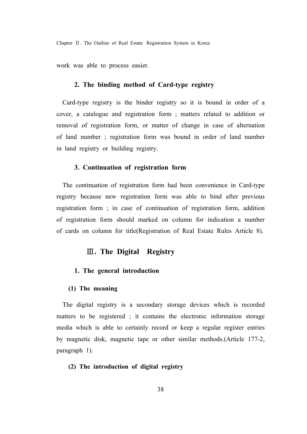Chapter Ⅱ. The Outline of Real Estate Registration System in Korea

work was able to process easier.

# **2. The binding method of Card-type registry**

Card-type registry is the binder registry so it is bound in order of a cover, a catalogue and registration form ; matters related to addition or removal of registration form, or matter of change in case of alternation of land number ; registration form was bound in order of land number in land registry or building registry.

# **3. Continuation of registration form**

The continuation of registration form had been convenience in Card-type registry because new registration form was able to bind after previous registration form ; in case of continuation of registration form, addition of registration form should marked on column for indication a number of cards on column for title(Registration of Real Estate Rules Article 8).

# Ⅲ**. The Digital Registry**

# **1. The general introduction**

# **(1) The meaning**

The digital registry is a secondary storage devices which is recorded matters to be registered ; it contains the electronic information storage media which is able to certainly record or keep a regular register entries by magnetic disk, magnetic tape or other similar methods.(Article 177-2, paragraph 1).

# **(2) The introduction of digital registry**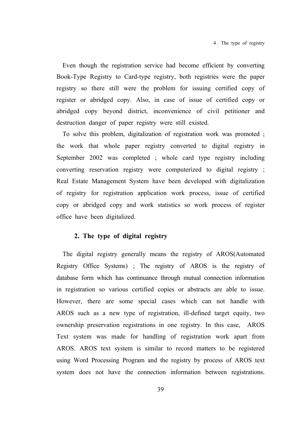Even though the registration service had become efficient by converting Book-Type Registry to Card-type registry, both registries were the paper registry so there still were the problem for issuing certified copy of register or abridged copy. Also, in case of issue of certified copy or abridged copy beyond district, inconvenience of civil petitioner and destruction danger of paper registry were still existed.

To solve this problem, digitalization of registration work was promoted ; the work that whole paper registry converted to digital registry in September 2002 was completed ; whole card type registry including converting reservation registry were computerized to digital registry ; Real Estate Management System have been developed with digitalization of registry for registration application work process, issue of certified copy or abridged copy and work statistics so work process of register office have been digitalized.

# **2. The type of digital registry**

The digital registry generally means the registry of AROS(Automated Registry Office Systems) ; The registry of AROS is the registry of database form which has continuance through mutual connection information in registration so various certified copies or abstracts are able to issue. However, there are some special cases which can not handle with AROS such as a new type of registration, ill-defined target equity, two ownership preservation registrations in one registry. In this case, AROS Text system was made for handling of registration work apart from AROS. AROS text system is similar to record matters to be registered using Word Processing Program and the registry by process of AROS text system does not have the connection information between registrations.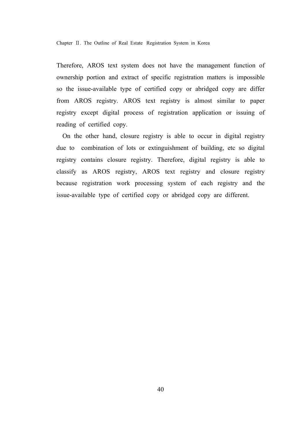Chapter Ⅱ. The Outline of Real Estate Registration System in Korea

Therefore, AROS text system does not have the management function of ownership portion and extract of specific registration matters is impossible so the issue-available type of certified copy or abridged copy are differ from AROS registry. AROS text registry is almost similar to paper registry except digital process of registration application or issuing of reading of certified copy.

On the other hand, closure registry is able to occur in digital registry due to combination of lots or extinguishment of building, etc so digital registry contains closure registry. Therefore, digital registry is able to classify as AROS registry, AROS text registry and closure registry because registration work processing system of each registry and the issue-available type of certified copy or abridged copy are different.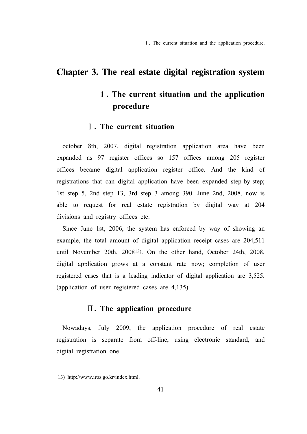1 . The current situation and the application procedure.

# **Chapter 3. The real estate digital registration system**

# **1 . The current situation and the application procedure**

# Ⅰ**. The current situation**

october 8th, 2007, digital registration application area have been expanded as 97 register offices so 157 offices among 205 register offices became digital application register office. And the kind of registrations that can digital application have been expanded step-by-step; 1st step 5, 2nd step 13, 3rd step 3 among 390. June 2nd, 2008, now is able to request for real estate registration by digital way at 204 divisions and registry offices etc.

Since June 1st, 2006, the system has enforced by way of showing an example, the total amount of digital application receipt cases are 204,511 until November 20th, 200813). On the other hand, October 24th, 2008, digital application grows at a constant rate now; completion of user registered cases that is a leading indicator of digital application are 3,525. (application of user registered cases are 4,135).

# Ⅱ**. The application procedure**

Nowadays, July 2009, the application procedure of real estate registration is separate from off-line, using electronic standard, and digital registration one.

<sup>13)</sup> http://www.iros.go.kr/index.html.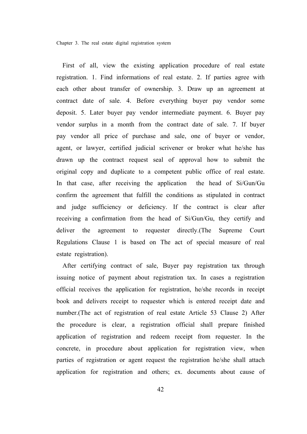First of all, view the existing application procedure of real estate registration. 1. Find informations of real estate. 2. If parties agree with each other about transfer of ownership. 3. Draw up an agreement at contract date of sale. 4. Before everything buyer pay vendor some deposit. 5. Later buyer pay vendor intermediate payment. 6. Buyer pay vendor surplus in a month from the contract date of sale. 7. If buyer pay vendor all price of purchase and sale, one of buyer or vendor, agent, or lawyer, certified judicial scrivener or broker what he/she has drawn up the contract request seal of approval how to submit the original copy and duplicate to a competent public office of real estate. In that case, after receiving the application the head of Si/Gun/Gu confirm the agreement that fulfill the conditions as stipulated in contract and judge sufficiency or deficiency. If the contract is clear after receiving a confirmation from the head of Si/Gun/Gu, they certify and deliver the agreement to requester directly.(The Supreme Court Regulations Clause 1 is based on The act of special measure of real estate registration).

After certifying contract of sale, Buyer pay registration tax through issuing notice of payment about registration tax. In cases a registration official receives the application for registration, he/she records in receipt book and delivers receipt to requester which is entered receipt date and number.(The act of registration of real estate Article 53 Clause 2) After the procedure is clear, a registration official shall prepare finished application of registration and redeem receipt from requester. In the concrete, in procedure about application for registration view, when parties of registration or agent request the registration he/she shall attach application for registration and others; ex. documents about cause of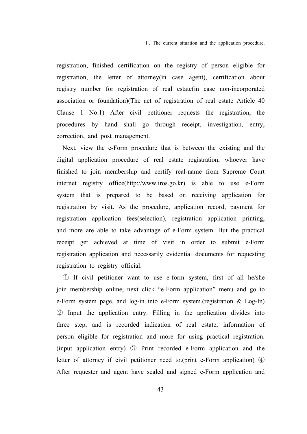1 . The current situation and the application procedure.

registration, finished certification on the registry of person eligible for registration, the letter of attorney(in case agent), certification about registry number for registration of real estate(in case non-incorporated association or foundation)(The act of registration of real estate Article 40 Clause 1 No.1) After civil petitioner requests the registration, the procedures by hand shall go through receipt, investigation, entry, correction, and post management.

Next, view the e-Form procedure that is between the existing and the digital application procedure of real estate registration, whoever have finished to join membership and certify real-name from Supreme Court internet registry office(http://www.iros.go.kr) is able to use e-Form system that is prepared to be based on receiving application for registration by visit. As the procedure, application record, payment for registration application fees(selection), registration application printing, and more are able to take advantage of e-Form system. But the practical receipt get achieved at time of visit in order to submit e-Form registration application and necessarily evidential documents for requesting registration to registry official.

① If civil petitioner want to use e-form system, first of all he/she join membership online, next click "e-Form application" menu and go to e-Form system page, and log-in into e-Form system.(registration & Log-In) ② Input the application entry. Filling in the application divides into three step, and is recorded indication of real estate, information of person eligible for registration and more for using practical registration. (input application entry) ③ Print recorded e-Form application and the letter of attorney if civil petitioner need to.(print e-Form application) ④ After requester and agent have sealed and signed e-Form application and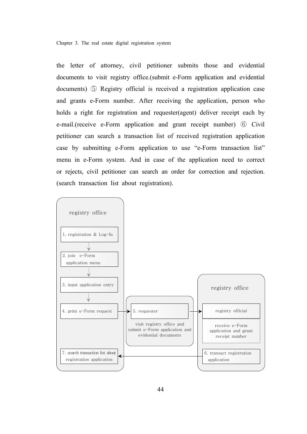the letter of attorney, civil petitioner submits those and evidential documents to visit registry office.(submit e-Form application and evidential documents) ⑤ Registry official is received a registration application case and grants e-Form number. After receiving the application, person who holds a right for registration and requester(agent) deliver receipt each by e-mail.(receive e-Form application and grant receipt number) ⑥ Civil petitioner can search a transaction list of received registration application case by submitting e-Form application to use "e-Form transaction list" menu in e-Form system. And in case of the application need to correct or rejects, civil petitioner can search an order for correction and rejection. (search transaction list about registration).

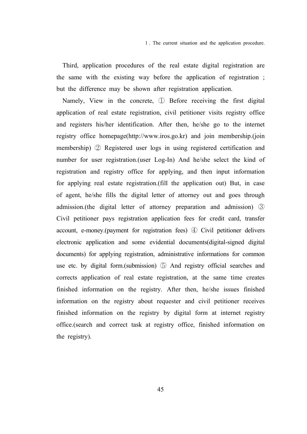Third, application procedures of the real estate digital registration are the same with the existing way before the application of registration ; but the difference may be shown after registration application.

Namely, View in the concrete, ① Before receiving the first digital application of real estate registration, civil petitioner visits registry office and registers his/her identification. After then, he/she go to the internet registry office homepage(http://www.iros.go.kr) and join membership.(join membership) ② Registered user logs in using registered certification and number for user registration.(user Log-In) And he/she select the kind of registration and registry office for applying, and then input information for applying real estate registration.(fill the application out) But, in case of agent, he/she fills the digital letter of attorney out and goes through admission.(the digital letter of attorney preparation and admission) ③ Civil petitioner pays registration application fees for credit card, transfer account, e-money.(payment for registration fees) ④ Civil petitioner delivers electronic application and some evidential documents(digital-signed digital documents) for applying registration, administrative informations for common use etc. by digital form.(submission) ⑤ And registry official searches and corrects application of real estate registration, at the same time creates finished information on the registry. After then, he/she issues finished information on the registry about requester and civil petitioner receives finished information on the registry by digital form at internet registry office.(search and correct task at registry office, finished information on the registry).

45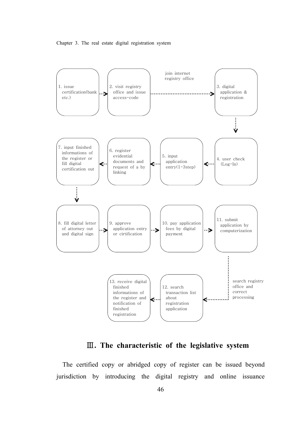



Ⅲ**. The characteristic of the legislative system** 

The certified copy or abridged copy of register can be issued beyond jurisdiction by introducing the digital registry and online issuance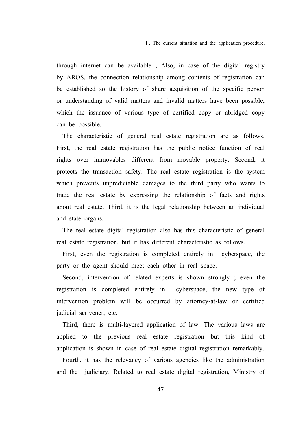through internet can be available ; Also, in case of the digital registry by AROS, the connection relationship among contents of registration can be established so the history of share acquisition of the specific person or understanding of valid matters and invalid matters have been possible, which the issuance of various type of certified copy or abridged copy can be possible.

The characteristic of general real estate registration are as follows. First, the real estate registration has the public notice function of real rights over immovables different from movable property. Second, it protects the transaction safety. The real estate registration is the system which prevents unpredictable damages to the third party who wants to trade the real estate by expressing the relationship of facts and rights about real estate. Third, it is the legal relationship between an individual and state organs.

The real estate digital registration also has this characteristic of general real estate registration, but it has different characteristic as follows.

First, even the registration is completed entirely in cyberspace, the party or the agent should meet each other in real space.

Second, intervention of related experts is shown strongly ; even the registration is completed entirely in cyberspace, the new type of intervention problem will be occurred by attorney-at-law or certified judicial scrivener, etc.

Third, there is multi-layered application of law. The various laws are applied to the previous real estate registration but this kind of application is shown in case of real estate digital registration remarkably.

Fourth, it has the relevancy of various agencies like the administration and the judiciary. Related to real estate digital registration, Ministry of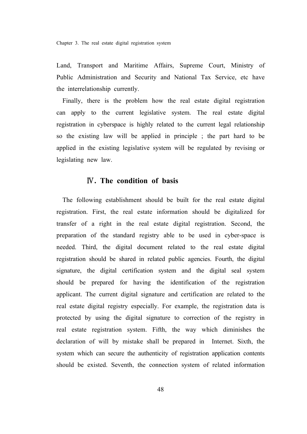Land, Transport and Maritime Affairs, Supreme Court, Ministry of Public Administration and Security and National Tax Service, etc have the interrelationship currently.

Finally, there is the problem how the real estate digital registration can apply to the current legislative system. The real estate digital registration in cyberspace is highly related to the current legal relationship so the existing law will be applied in principle ; the part hard to be applied in the existing legislative system will be regulated by revising or legislating new law.

# Ⅳ**. The condition of basis**

The following establishment should be built for the real estate digital registration. First, the real estate information should be digitalized for transfer of a right in the real estate digital registration. Second, the preparation of the standard registry able to be used in cyber-space is needed. Third, the digital document related to the real estate digital registration should be shared in related public agencies. Fourth, the digital signature, the digital certification system and the digital seal system should be prepared for having the identification of the registration applicant. The current digital signature and certification are related to the real estate digital registry especially. For example, the registration data is protected by using the digital signature to correction of the registry in real estate registration system. Fifth, the way which diminishes the declaration of will by mistake shall be prepared in Internet. Sixth, the system which can secure the authenticity of registration application contents should be existed. Seventh, the connection system of related information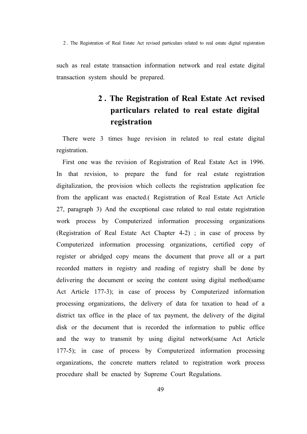2 . The Registration of Real Estate Act revised particulars related to real estate digital registration

such as real estate transaction information network and real estate digital transaction system should be prepared.

# **2 . The Registration of Real Estate Act revised particulars related to real estate digital registration**

There were 3 times huge revision in related to real estate digital registration.

First one was the revision of Registration of Real Estate Act in 1996. In that revision, to prepare the fund for real estate registration digitalization, the provision which collects the registration application fee from the applicant was enacted.( Registration of Real Estate Act Article 27, paragraph 3) And the exceptional case related to real estate registration work process by Computerized information processing organizations (Registration of Real Estate Act Chapter 4-2) ; in case of process by Computerized information processing organizations, certified copy of register or abridged copy means the document that prove all or a part recorded matters in registry and reading of registry shall be done by delivering the document or seeing the content using digital method(same Act Article 177-3); in case of process by Computerized information processing organizations, the delivery of data for taxation to head of a district tax office in the place of tax payment, the delivery of the digital disk or the document that is recorded the information to public office and the way to transmit by using digital network(same Act Article 177-5); in case of process by Computerized information processing organizations, the concrete matters related to registration work process procedure shall be enacted by Supreme Court Regulations.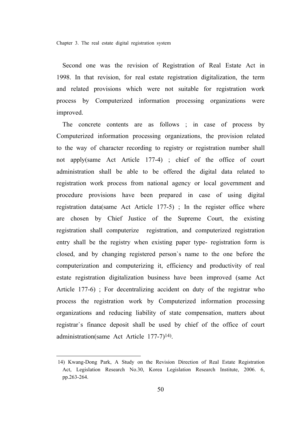Second one was the revision of Registration of Real Estate Act in 1998. In that revision, for real estate registration digitalization, the term and related provisions which were not suitable for registration work process by Computerized information processing organizations were improved.

The concrete contents are as follows ; in case of process by Computerized information processing organizations, the provision related to the way of character recording to registry or registration number shall not apply(same Act Article 177-4) ; chief of the office of court administration shall be able to be offered the digital data related to registration work process from national agency or local government and procedure provisions have been prepared in case of using digital registration data(same Act Article 177-5) ; In the register office where are chosen by Chief Justice of the Supreme Court, the existing registration shall computerize registration, and computerized registration entry shall be the registry when existing paper type- registration form is closed, and by changing registered person`s name to the one before the computerization and computerizing it, efficiency and productivity of real estate registration digitalization business have been improved (same Act Article 177-6) ; For decentralizing accident on duty of the registrar who process the registration work by Computerized information processing organizations and reducing liability of state compensation, matters about registrar`s finance deposit shall be used by chief of the office of court administration(same Act Article 177-7)14).

<sup>14)</sup> Kwang-Dong Park, A Study on the Revision Direction of Real Estate Registration Act, Legislation Research No.30, Korea Legislation Research Institute, 2006. 6, pp.263-264.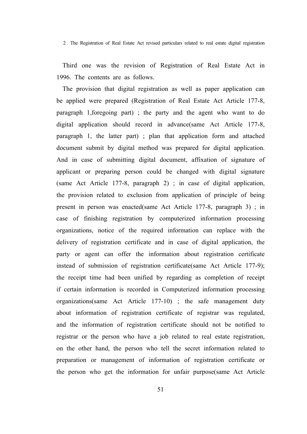2 . The Registration of Real Estate Act revised particulars related to real estate digital registration

Third one was the revision of Registration of Real Estate Act in 1996. The contents are as follows.

The provision that digital registration as well as paper application can be applied were prepared (Registration of Real Estate Act Article 177-8, paragraph 1,foregoing part) ; the party and the agent who want to do digital application should record in advance(same Act Article 177-8, paragraph 1, the latter part) ; plan that application form and attached document submit by digital method was prepared for digital application. And in case of submitting digital document, affixation of signature of applicant or preparing person could be changed with digital signature (same Act Article 177-8, paragraph 2) ; in case of digital application, the provision related to exclusion from application of principle of being present in person was enacted(same Act Article 177-8, paragraph 3) ; in case of finishing registration by computerized information processing organizations, notice of the required information can replace with the delivery of registration certificate and in case of digital application, the party or agent can offer the information about registration certificate instead of submission of registration certificate(same Act Article 177-9); the receipt time had been unified by regarding as completion of receipt if certain information is recorded in Computerized information processing organizations(same Act Article 177-10) ; the safe management duty about information of registration certificate of registrar was regulated, and the information of registration certificate should not be notified to registrar or the person who have a job related to real estate registration, on the other hand, the person who tell the secret information related to preparation or management of information of registration certificate or the person who get the information for unfair purpose(same Act Article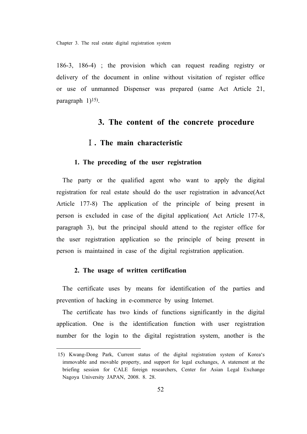186-3, 186-4) ; the provision which can request reading registry or delivery of the document in online without visitation of register office or use of unmanned Dispenser was prepared (same Act Article 21, paragraph 1)<sup>15</sup>).

# **3. The content of the concrete procedure**

# Ⅰ**. The main characteristic**

# **1. The preceding of the user registration**

The party or the qualified agent who want to apply the digital registration for real estate should do the user registration in advance(Act Article 177-8) The application of the principle of being present in person is excluded in case of the digital application( Act Article 177-8, paragraph 3), but the principal should attend to the register office for the user registration application so the principle of being present in person is maintained in case of the digital registration application.

# **2. The usage of written certification**

The certificate uses by means for identification of the parties and prevention of hacking in e-commerce by using Internet.

The certificate has two kinds of functions significantly in the digital application. One is the identification function with user registration number for the login to the digital registration system, another is the

<sup>15)</sup> Kwang-Dong Park, Current status of the digital registration system of Korea's immovable and movable property, and support for legal exchanges, A statement at the briefing session for CALE foreign researchers, Center for Asian Legal Exchange Nagoya University JAPAN, 2008. 8. 28.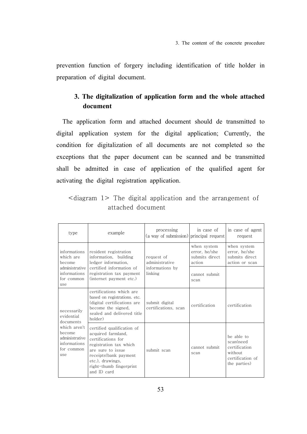prevention function of forgery including identification of title holder in preparation of digital document.

# **3. The digitalization of application form and the whole attached document**

The application form and attached document should de transmitted to digital application system for the digital application; Currently, the condition for digitalization of all documents are not completed so the exceptions that the paper document can be scanned and be transmitted shall be admitted in case of application of the qualified agent for activating the digital registration application.

|  |  | attached document |  |  |  |
|--|--|-------------------|--|--|--|

| type                                                                           | example                                                                                                                                                                                                      | processing<br>(a way of submission)    | in case of<br>principal request                          | in case of agent<br>request                                                             |
|--------------------------------------------------------------------------------|--------------------------------------------------------------------------------------------------------------------------------------------------------------------------------------------------------------|----------------------------------------|----------------------------------------------------------|-----------------------------------------------------------------------------------------|
| informations<br>which are<br>become                                            | resident registration<br>information, building<br>ledger information,                                                                                                                                        | request of<br>administrative           | when system<br>error, he/she<br>submits direct<br>action | when system<br>error, he/she<br>submits direct<br>action or scan                        |
| administrative I<br>informations<br>for common<br>use                          | certified information of<br>registration tax payment<br>(internet payment etc.)                                                                                                                              | informations by<br>linking             | cannot submit.<br>scan                                   |                                                                                         |
| necessarily<br>evidential<br>documents                                         | certifications which are<br>based on registrations, etc.<br>(digital certifications are<br>become the signed,<br>sealed and delivered title<br>holder)                                                       | submit digital<br>certifications, scan | certification                                            | certification                                                                           |
| which aren't<br>become.<br>administrative<br>informations<br>for common<br>use | certified qualification of<br>acquired farmland,<br>certifications for<br>registration tax which<br>are sure to issue<br>receipts(bank payment<br>etc.), drawings,<br>right-thumb fingerprint<br>and ID card | submit scan                            | cannot submit.<br>scan                                   | be able to<br>scan(need<br>certification<br>without<br>certification of<br>the parties) |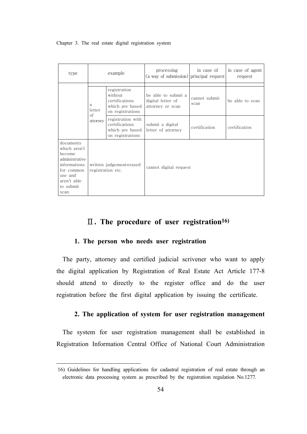| type                                                                                                                               | example                                       |                                                                                  | processing<br>(a way of submission) principal request        | in case of            | in case of agent<br>request |
|------------------------------------------------------------------------------------------------------------------------------------|-----------------------------------------------|----------------------------------------------------------------------------------|--------------------------------------------------------------|-----------------------|-----------------------------|
|                                                                                                                                    | a<br>letter                                   | registration<br>without<br>certifications<br>which are based<br>on registrations | be able to submit a<br>digital letter of<br>attorney or scan | cannot submit<br>scan | be able to scan             |
|                                                                                                                                    | of<br>attorney                                | registration with<br>certifications<br>which are based<br>on registrations       | submit a digital<br>letter of attorney                       | certification         | certification               |
| documents<br>which aren't<br>become<br>administrative<br>informations<br>for common<br>use and<br>aren't able<br>to submit<br>scan | written judgement-erased<br>registration etc. |                                                                                  | cannot digital request                                       |                       |                             |

# Ⅱ**. The procedure of user registration16)**

# **1. The person who needs user registration**

The party, attorney and certified judicial scrivener who want to apply the digital application by Registration of Real Estate Act Article 177-8 should attend to directly to the register office and do the user registration before the first digital application by issuing the certificate.

# **2. The application of system for user registration management**

The system for user registration management shall be established in Registration Information Central Office of National Court Administration

<sup>16)</sup> Guidelines for handling applications for cadastral registration of real estate through an electronic data processing system as prescribed by the registration regulation No.1277.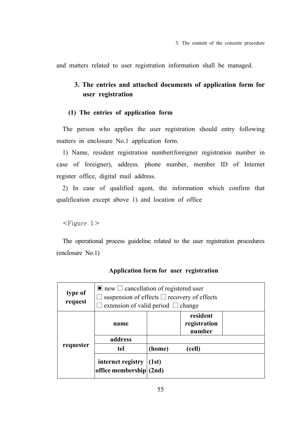and matters related to user registration information shall be managed.

# **3. The entries and attached documents of application form for user registration**

# **(1) The entries of application form**

The person who applies the user registration should entry following matters in enclosure No.1 application form.

1) Name, resident registration number(foreigner registration number in case of foreigner), address. phone number, member ID of Internet register office, digital mail address.

2) In case of qualified agent, the information which confirm that qualification except above 1) and location of office

<Figure 1>

The operational process guideline related to the user registration procedures (enclosure No.1)

| type of<br>request | $\blacksquare$ new $\Box$ cancellation of registered user<br>suspension of effects $\square$ recovery of effects<br>extension of valid period $\Box$ change |                  |                                    |  |
|--------------------|-------------------------------------------------------------------------------------------------------------------------------------------------------------|------------------|------------------------------------|--|
|                    | name                                                                                                                                                        |                  | resident<br>registration<br>number |  |
|                    | address                                                                                                                                                     |                  |                                    |  |
| requester          | tel                                                                                                                                                         | (home)<br>(cell) |                                    |  |
|                    | internet registry $ (1st)$<br>office membership $(2nd)$                                                                                                     |                  |                                    |  |

#### **Application form for user registration**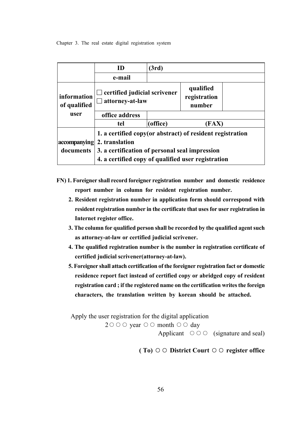|                             | ID                                                                                                                                                                                   | (3rd)    |                                     |  |
|-----------------------------|--------------------------------------------------------------------------------------------------------------------------------------------------------------------------------------|----------|-------------------------------------|--|
|                             | e-mail                                                                                                                                                                               |          |                                     |  |
| information<br>of qualified | $\Box$ certified judicial scrivener<br>$\Box$ attorney-at-law                                                                                                                        |          | qualified<br>registration<br>number |  |
| user                        | office address                                                                                                                                                                       |          |                                     |  |
|                             | tel                                                                                                                                                                                  | (office) | [FAX]                               |  |
| accompanying<br>documents   | 1. a certified copy (or abstract) of resident registration<br>2. translation<br>3. a certification of personal seal impression<br>4. a certified copy of qualified user registration |          |                                     |  |

- **FN) 1. Foreigner shall record foreigner registration number and domestic residence report number in column for resident registration number.**
	- **2. Resident registration number in application form should correspond with resident registration number in the certificate that uses for user registration in Internet register office.**
	- **3. The column for qualified person shall be recorded by the qualified agent such as attorney-at-law or certified judicial scrivener.**
	- **4. The qualified registration number is the number in registration certificate of certified judicial scrivener(attorney-at-law).**
	- **5. Foreigner shall attach certification of the foreigner registration fact or domestic residence report fact instead of certified copy or abridged copy of resident registration card ; if the registered name on the certification writes the foreign characters, the translation written by korean should be attached.**

Apply the user registration for the digital application

2○○○ year ○○ month ○○ day

Applicant  $\circ \circ \circ$  (signature and seal)

**( To)** ○○ **District Court** ○○ **register office**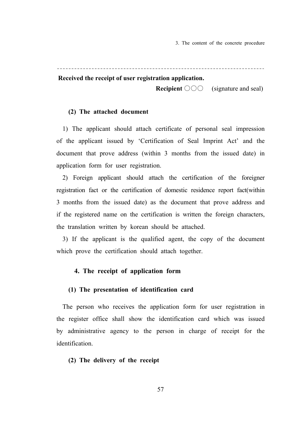3. The content of the concrete procedure

#### **Received the receipt of user registration application.**

 **Recipient** ○○○ (signature and seal)

## **(2) The attached document**

1) The applicant should attach certificate of personal seal impression of the applicant issued by 'Certification of Seal Imprint Act' and the document that prove address (within 3 months from the issued date) in application form for user registration.

2) Foreign applicant should attach the certification of the foreigner registration fact or the certification of domestic residence report fact(within 3 months from the issued date) as the document that prove address and if the registered name on the certification is written the foreign characters, the translation written by korean should be attached.

3) If the applicant is the qualified agent, the copy of the document which prove the certification should attach together.

#### **4. The receipt of application form**

# **(1) The presentation of identification card**

The person who receives the application form for user registration in the register office shall show the identification card which was issued by administrative agency to the person in charge of receipt for the identification.

# **(2) The delivery of the receipt**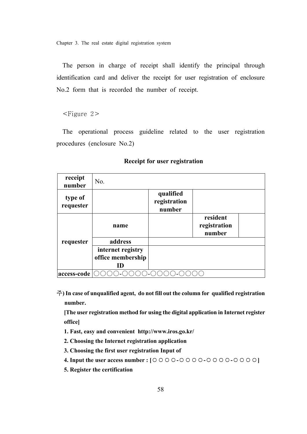The person in charge of receipt shall identify the principal through identification card and deliver the receipt for user registration of enclosure No.2 form that is recorded the number of receipt.

<Figure 2>

The operational process guideline related to the user registration procedures (enclosure No.2)

| receipt<br>number    | No.               |                                     |                                    |  |
|----------------------|-------------------|-------------------------------------|------------------------------------|--|
| type of<br>requester |                   | qualified<br>registration<br>number |                                    |  |
|                      | name              |                                     | resident<br>registration<br>number |  |
| requester            | address           |                                     |                                    |  |
|                      | internet registry |                                     |                                    |  |
|                      | office membership |                                     |                                    |  |
|                      | ID                |                                     |                                    |  |
| access-code          |                   |                                     |                                    |  |

# **Receipt for user registration**

주**) In case of unqualified agent, do not fill out the column for qualified registration number.**

 **[The user registration method for using the digital application in Internet register office]** 

- **1. Fast, easy and convenient http://www.iros.go.kr/**
- **2. Choosing the Internet registration application**
- **3. Choosing the first user registration Input of**
- **4. Input the user access number : [**○○○○**-**○○○○**-**○○○○**-**○○○○**]**
- **5. Register the certification**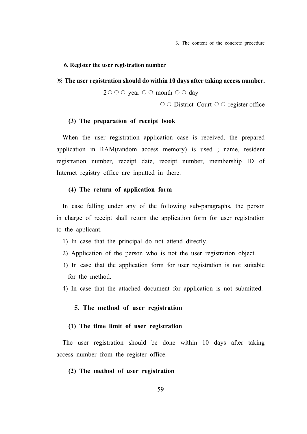3. The content of the concrete procedure

#### **6. Register the user registration number**

#### ※ **The user registration should do within 10 days after taking access number.**

 $2\circ \circ \circ \circ \text{year} \circ \circ \circ \text{month} \circ \circ \circ \text{day}$ 

○○ District Court ○○ register office

#### **(3) The preparation of receipt book**

When the user registration application case is received, the prepared application in RAM(random access memory) is used ; name, resident registration number, receipt date, receipt number, membership ID of Internet registry office are inputted in there.

# **(4) The return of application form**

In case falling under any of the following sub-paragraphs, the person in charge of receipt shall return the application form for user registration to the applicant.

- 1) In case that the principal do not attend directly.
- 2) Application of the person who is not the user registration object.
- 3) In case that the application form for user registration is not suitable for the method.
- 4) In case that the attached document for application is not submitted.

#### **5. The method of user registration**

#### **(1) The time limit of user registration**

The user registration should be done within 10 days after taking access number from the register office.

# **(2) The method of user registration**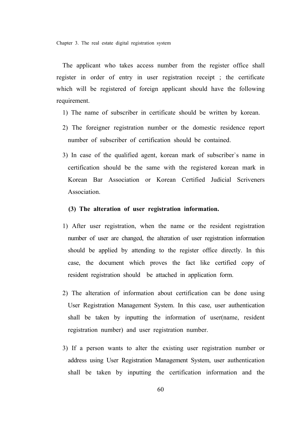The applicant who takes access number from the register office shall register in order of entry in user registration receipt ; the certificate which will be registered of foreign applicant should have the following requirement.

- 1) The name of subscriber in certificate should be written by korean.
- 2) The foreigner registration number or the domestic residence report number of subscriber of certification should be contained.
- 3) In case of the qualified agent, korean mark of subscriber`s name in certification should be the same with the registered korean mark in Korean Bar Association or Korean Certified Judicial Scriveners Association.

### **(3) The alteration of user registration information.**

- 1) After user registration, when the name or the resident registration number of user are changed, the alteration of user registration information should be applied by attending to the register office directly. In this case, the document which proves the fact like certified copy of resident registration should be attached in application form.
- 2) The alteration of information about certification can be done using User Registration Management System. In this case, user authentication shall be taken by inputting the information of user(name, resident registration number) and user registration number.
- 3) If a person wants to alter the existing user registration number or address using User Registration Management System, user authentication shall be taken by inputting the certification information and the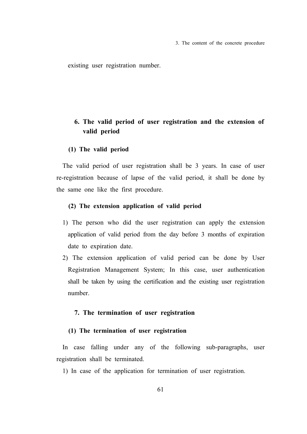3. The content of the concrete procedure

existing user registration number.

# **6. The valid period of user registration and the extension of valid period**

## **(1) The valid period**

The valid period of user registration shall be 3 years. In case of user re-registration because of lapse of the valid period, it shall be done by the same one like the first procedure.

# **(2) The extension application of valid period**

- 1) The person who did the user registration can apply the extension application of valid period from the day before 3 months of expiration date to expiration date.
- 2) The extension application of valid period can be done by User Registration Management System; In this case, user authentication shall be taken by using the certification and the existing user registration number.

# **7. The termination of user registration**

# **(1) The termination of user registration**

In case falling under any of the following sub-paragraphs, user registration shall be terminated.

1) In case of the application for termination of user registration.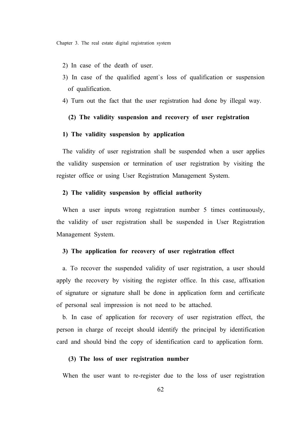- 2) In case of the death of user.
- 3) In case of the qualified agent`s loss of qualification or suspension of qualification.
- 4) Turn out the fact that the user registration had done by illegal way.

# **(2) The validity suspension and recovery of user registration**

# **1) The validity suspension by application**

The validity of user registration shall be suspended when a user applies the validity suspension or termination of user registration by visiting the register office or using User Registration Management System.

## **2) The validity suspension by official authority**

When a user inputs wrong registration number 5 times continuously, the validity of user registration shall be suspended in User Registration Management System.

# **3) The application for recovery of user registration effect**

a. To recover the suspended validity of user registration, a user should apply the recovery by visiting the register office. In this case, affixation of signature or signature shall be done in application form and certificate of personal seal impression is not need to be attached.

b. In case of application for recovery of user registration effect, the person in charge of receipt should identify the principal by identification card and should bind the copy of identification card to application form.

#### **(3) The loss of user registration number**

When the user want to re-register due to the loss of user registration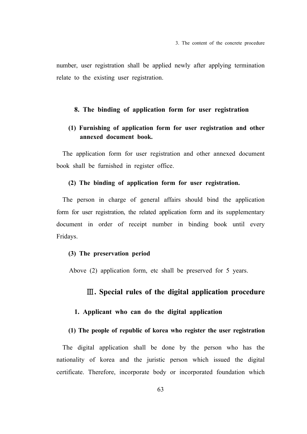number, user registration shall be applied newly after applying termination relate to the existing user registration.

## **8. The binding of application form for user registration**

# **(1) Furnishing of application form for user registration and other annexed document book.**

The application form for user registration and other annexed document book shall be furnished in register office.

## **(2) The binding of application form for user registration.**

The person in charge of general affairs should bind the application form for user registration, the related application form and its supplementary document in order of receipt number in binding book until every Fridays.

# **(3) The preservation period**

Above (2) application form, etc shall be preserved for 5 years.

# Ⅲ**. Special rules of the digital application procedure**

#### **1. Applicant who can do the digital application**

# **(1) The people of republic of korea who register the user registration**

The digital application shall be done by the person who has the nationality of korea and the juristic person which issued the digital certificate. Therefore, incorporate body or incorporated foundation which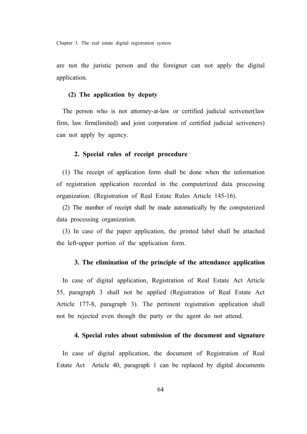are not the juristic person and the foreigner can not apply the digital application.

# **(2) The application by deputy**

The person who is not attorney-at-law or certified judicial scrivener(law firm, law firm(limited) and joint corporation of certified judicial scriveners) can not apply by agency.

# **2. Special rules of receipt procedure**

(1) The receipt of application form shall be done when the information of registration application recorded in the computerized data processing organization. (Registration of Real Estate Rules Article 145-16).

(2) The number of receipt shall be made automatically by the computerized data processing organization.

(3) In case of the paper application, the printed label shall be attached the left-upper portion of the application form.

# **3. The elimination of the principle of the attendance application**

In case of digital application, Registration of Real Estate Act Article 55, paragraph 3 shall not be applied (Registration of Real Estate Act Article 177-8, paragraph 3). The pertinent registration application shall not be rejected even though the party or the agent do not attend.

#### **4. Special rules about submission of the document and signature**

In case of digital application, the document of Registration of Real Estate Act Article 40, paragraph 1 can be replaced by digital documents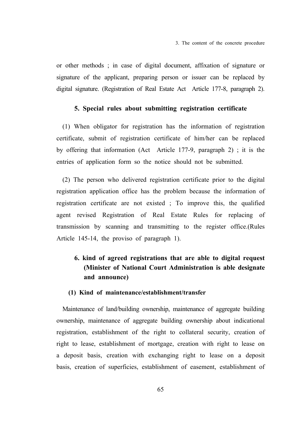or other methods ; in case of digital document, affixation of signature or signature of the applicant, preparing person or issuer can be replaced by digital signature. (Registration of Real Estate Act Article 177-8, paragraph 2).

# **5. Special rules about submitting registration certificate**

(1) When obligator for registration has the information of registration certificate, submit of registration certificate of him/her can be replaced by offering that information (Act Article 177-9, paragraph 2) ; it is the entries of application form so the notice should not be submitted.

(2) The person who delivered registration certificate prior to the digital registration application office has the problem because the information of registration certificate are not existed ; To improve this, the qualified agent revised Registration of Real Estate Rules for replacing of transmission by scanning and transmitting to the register office.(Rules Article 145-14, the proviso of paragraph 1).

# **6. kind of agreed registrations that are able to digital request (Minister of National Court Administration is able designate and announce)**

# **(1) Kind of maintenance/establishment/transfer**

Maintenance of land/building ownership, maintenance of aggregate building ownership, maintenance of aggregate building ownership about indicational registration, establishment of the right to collateral security, creation of right to lease, establishment of mortgage, creation with right to lease on a deposit basis, creation with exchanging right to lease on a deposit basis, creation of superficies, establishment of easement, establishment of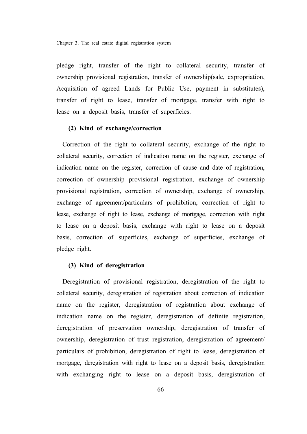pledge right, transfer of the right to collateral security, transfer of ownership provisional registration, transfer of ownership(sale, expropriation, Acquisition of agreed Lands for Public Use, payment in substitutes), transfer of right to lease, transfer of mortgage, transfer with right to lease on a deposit basis, transfer of superficies.

#### **(2) Kind of exchange/correction**

Correction of the right to collateral security, exchange of the right to collateral security, correction of indication name on the register, exchange of indication name on the register, correction of cause and date of registration, correction of ownership provisional registration, exchange of ownership provisional registration, correction of ownership, exchange of ownership, exchange of agreement/particulars of prohibition, correction of right to lease, exchange of right to lease, exchange of mortgage, correction with right to lease on a deposit basis, exchange with right to lease on a deposit basis, correction of superficies, exchange of superficies, exchange of pledge right.

# **(3) Kind of deregistration**

Deregistration of provisional registration, deregistration of the right to collateral security, deregistration of registration about correction of indication name on the register, deregistration of registration about exchange of indication name on the register, deregistration of definite registration, deregistration of preservation ownership, deregistration of transfer of ownership, deregistration of trust registration, deregistration of agreement/ particulars of prohibition, deregistration of right to lease, deregistration of mortgage, deregistration with right to lease on a deposit basis, deregistration with exchanging right to lease on a deposit basis, deregistration of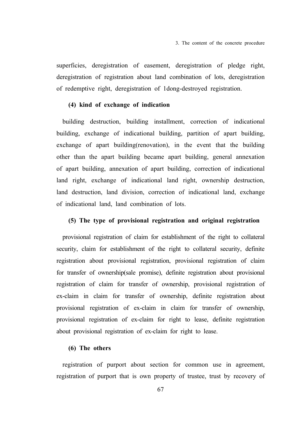superficies, deregistration of easement, deregistration of pledge right, deregistration of registration about land combination of lots, deregistration of redemptive right, deregistration of 1dong-destroyed registration.

# **(4) kind of exchange of indication**

building destruction, building installment, correction of indicational building, exchange of indicational building, partition of apart building, exchange of apart building(renovation), in the event that the building other than the apart building became apart building, general annexation of apart building, annexation of apart building, correction of indicational land right, exchange of indicational land right, ownership destruction, land destruction, land division, correction of indicational land, exchange of indicational land, land combination of lots.

#### **(5) The type of provisional registration and original registration**

provisional registration of claim for establishment of the right to collateral security, claim for establishment of the right to collateral security, definite registration about provisional registration, provisional registration of claim for transfer of ownership(sale promise), definite registration about provisional registration of claim for transfer of ownership, provisional registration of ex-claim in claim for transfer of ownership, definite registration about provisional registration of ex-claim in claim for transfer of ownership, provisional registration of ex-claim for right to lease, definite registration about provisional registration of ex-claim for right to lease.

# **(6) The others**

registration of purport about section for common use in agreement, registration of purport that is own property of trustee, trust by recovery of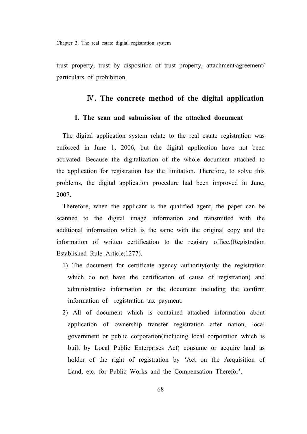trust property, trust by disposition of trust property, attachment·agreement/ particulars of prohibition.

# Ⅳ**. The concrete method of the digital application**

# **1. The scan and submission of the attached document**

The digital application system relate to the real estate registration was enforced in June 1, 2006, but the digital application have not been activated. Because the digitalization of the whole document attached to the application for registration has the limitation. Therefore, to solve this problems, the digital application procedure had been improved in June, 2007.

Therefore, when the applicant is the qualified agent, the paper can be scanned to the digital image information and transmitted with the additional information which is the same with the original copy and the information of written certification to the registry office.(Registration Established Rule Article.1277).

- 1) The document for certificate agency authority(only the registration which do not have the certification of cause of registration) and administrative information or the document including the confirm information of registration tax payment.
- 2) All of document which is contained attached information about application of ownership transfer registration after nation, local government or public corporation(including local corporation which is built by Local Public Enterprises Act) consume or acquire land as holder of the right of registration by 'Act on the Acquisition of Land, etc. for Public Works and the Compensation Therefor'.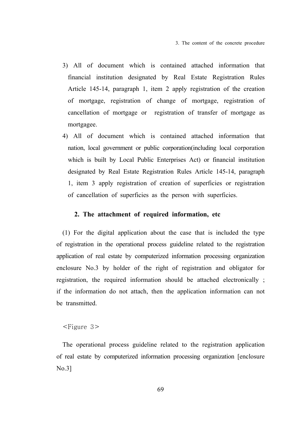- 3) All of document which is contained attached information that financial institution designated by Real Estate Registration Rules Article 145-14, paragraph 1, item 2 apply registration of the creation of mortgage, registration of change of mortgage, registration of cancellation of mortgage or registration of transfer of mortgage as mortgagee.
- 4) All of document which is contained attached information that nation, local government or public corporation(including local corporation which is built by Local Public Enterprises Act) or financial institution designated by Real Estate Registration Rules Article 145-14, paragraph 1, item 3 apply registration of creation of superficies or registration of cancellation of superficies as the person with superficies.

# **2. The attachment of required information, etc**

(1) For the digital application about the case that is included the type of registration in the operational process guideline related to the registration application of real estate by computerized information processing organization enclosure No.3 by holder of the right of registration and obligator for registration, the required information should be attached electronically ; if the information do not attach, then the application information can not be transmitted.

# <Figure 3>

The operational process guideline related to the registration application of real estate by computerized information processing organization [enclosure No.3]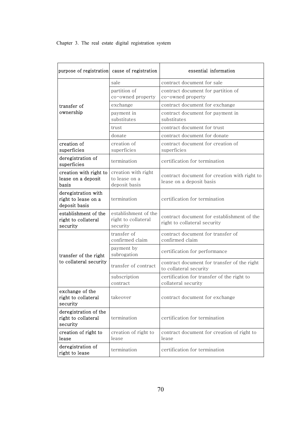| purpose of registration cause of registration               |                                                         | essential information                                                      |
|-------------------------------------------------------------|---------------------------------------------------------|----------------------------------------------------------------------------|
|                                                             | sale                                                    | contract document for sale                                                 |
|                                                             | partition of<br>co-owned property                       | contract document for partition of<br>co-owned property                    |
| transfer of                                                 | exchange                                                | contract document for exchange                                             |
| ownership                                                   | payment in<br>substitutes                               | contract document for payment in<br>substitutes                            |
|                                                             | trust                                                   | contract document for trust                                                |
|                                                             | donate                                                  | contract document for donate                                               |
| creation of<br>superficies                                  | creation of<br>superficies                              | contract document for creation of<br>superficies                           |
| deregistration of<br>superficies                            | termination                                             | certification for termination                                              |
| creation with right to<br>lease on a deposit<br>basis       | creation with right<br>to lease on a<br>deposit basis   | contract document for creation with right to<br>lease on a deposit basis   |
| deregistration with<br>right to lease on a<br>deposit basis | termination                                             | certification for termination                                              |
| establishment of the<br>right to collateral<br>security     | establishment of the<br>right to collateral<br>security | contract document for establishment of the<br>right to collateral security |
|                                                             | transfer of<br>confirmed claim                          | contract document for transfer of<br>confirmed claim                       |
| transfer of the right                                       | payment by<br>subrogation                               | certification for performance                                              |
| to collateral security                                      | transfer of contract                                    | contract document for transfer of the right<br>to collateral security      |
|                                                             | subscription<br>contract                                | certification for transfer of the right to<br>collateral security          |
| exchange of the<br>right to collateral<br>security          | takeover                                                | contract document for exchange                                             |
| deregistration of the<br>right to collateral<br>security    | termination                                             | certification for termination                                              |
| creation of right to<br>lease                               | creation of right to<br>lease                           | contract document for creation of right to<br>lease                        |
| deregistration of<br>right to lease                         | termination                                             | certification for termination                                              |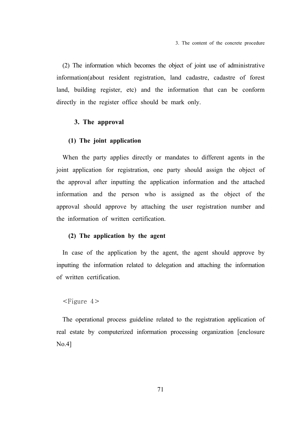(2) The information which becomes the object of joint use of administrative information(about resident registration, land cadastre, cadastre of forest land, building register, etc) and the information that can be conform directly in the register office should be mark only.

# **3. The approval**

#### **(1) The joint application**

When the party applies directly or mandates to different agents in the joint application for registration, one party should assign the object of the approval after inputting the application information and the attached information and the person who is assigned as the object of the approval should approve by attaching the user registration number and the information of written certification.

### **(2) The application by the agent**

In case of the application by the agent, the agent should approve by inputting the information related to delegation and attaching the information of written certification.

## $\leq$ Figure 4 $>$

The operational process guideline related to the registration application of real estate by computerized information processing organization [enclosure No.4]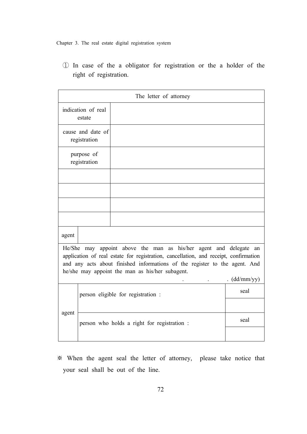① In case of the a obligator for registration or the a holder of the right of registration.

| The letter of attorney                                                                                                                                                                                                                                                                                   |                                    |                                             |      |  |
|----------------------------------------------------------------------------------------------------------------------------------------------------------------------------------------------------------------------------------------------------------------------------------------------------------|------------------------------------|---------------------------------------------|------|--|
| indication of real<br>estate                                                                                                                                                                                                                                                                             |                                    |                                             |      |  |
| cause and date of<br>registration                                                                                                                                                                                                                                                                        |                                    |                                             |      |  |
| purpose of<br>registration                                                                                                                                                                                                                                                                               |                                    |                                             |      |  |
|                                                                                                                                                                                                                                                                                                          |                                    |                                             |      |  |
|                                                                                                                                                                                                                                                                                                          |                                    |                                             |      |  |
|                                                                                                                                                                                                                                                                                                          |                                    |                                             |      |  |
|                                                                                                                                                                                                                                                                                                          |                                    |                                             |      |  |
| agent                                                                                                                                                                                                                                                                                                    |                                    |                                             |      |  |
| He/She may appoint above the man as his/her agent and delegate an<br>application of real estate for registration, cancellation, and receipt, confirmation<br>and any acts about finished informations of the register to the agent. And<br>he/she may appoint the man as his/her subagent.<br>(dd/mm/yy) |                                    |                                             |      |  |
|                                                                                                                                                                                                                                                                                                          | person eligible for registration : |                                             | seal |  |
| agent                                                                                                                                                                                                                                                                                                    |                                    | person who holds a right for registration : | seal |  |

※ When the agent seal the letter of attorney, please take notice that your seal shall be out of the line.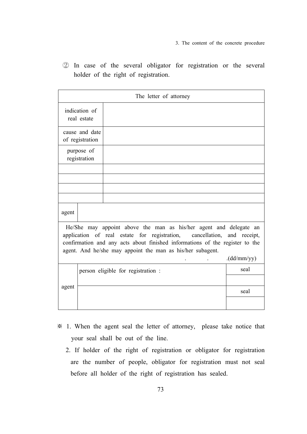3. The content of the concrete procedure

② In case of the several obligator for registration or the several holder of the right of registration.

|                                                                                                                                                                                                                                                                                                          | The letter of attorney |                                    |      |  |  |
|----------------------------------------------------------------------------------------------------------------------------------------------------------------------------------------------------------------------------------------------------------------------------------------------------------|------------------------|------------------------------------|------|--|--|
| indication of<br>real estate                                                                                                                                                                                                                                                                             |                        |                                    |      |  |  |
| cause and date<br>of registration                                                                                                                                                                                                                                                                        |                        |                                    |      |  |  |
| purpose of<br>registration                                                                                                                                                                                                                                                                               |                        |                                    |      |  |  |
|                                                                                                                                                                                                                                                                                                          |                        |                                    |      |  |  |
|                                                                                                                                                                                                                                                                                                          |                        |                                    |      |  |  |
|                                                                                                                                                                                                                                                                                                          |                        |                                    |      |  |  |
|                                                                                                                                                                                                                                                                                                          |                        |                                    |      |  |  |
| agent                                                                                                                                                                                                                                                                                                    |                        |                                    |      |  |  |
| He/She may appoint above the man as his/her agent and delegate an<br>application of real estate for registration, cancellation, and receipt,<br>confirmation and any acts about finished informations of the register to the<br>agent. And he/she may appoint the man as his/her subagent.<br>(dd/mm/yy) |                        |                                    |      |  |  |
|                                                                                                                                                                                                                                                                                                          |                        | person eligible for registration : | seal |  |  |
|                                                                                                                                                                                                                                                                                                          |                        |                                    |      |  |  |
| agent                                                                                                                                                                                                                                                                                                    |                        |                                    | seal |  |  |
|                                                                                                                                                                                                                                                                                                          |                        |                                    |      |  |  |

- ※ 1. When the agent seal the letter of attorney, please take notice that your seal shall be out of the line.
	- 2. If holder of the right of registration or obligator for registration are the number of people, obligator for registration must not seal before all holder of the right of registration has sealed.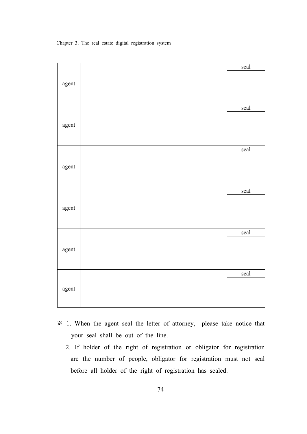|       | seal                  |
|-------|-----------------------|
|       |                       |
| agent |                       |
|       |                       |
|       | $\operatorname{scal}$ |
|       |                       |
| agent |                       |
|       |                       |
|       |                       |
|       | seal                  |
|       |                       |
| agent |                       |
|       |                       |
|       | seal                  |
|       |                       |
| agent |                       |
|       |                       |
|       |                       |
|       | seal                  |
|       |                       |
| agent |                       |
|       |                       |
|       | seal                  |
|       |                       |
| agent |                       |
|       |                       |
|       |                       |

- ※ 1. When the agent seal the letter of attorney, please take notice that your seal shall be out of the line.
	- 2. If holder of the right of registration or obligator for registration are the number of people, obligator for registration must not seal before all holder of the right of registration has sealed.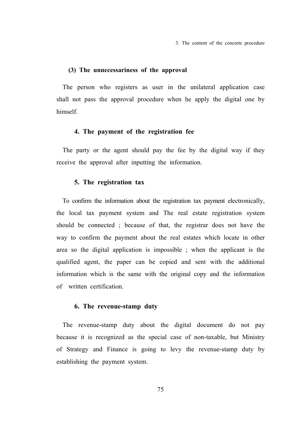3. The content of the concrete procedure

## **(3) The unnecessariness of the approval**

The person who registers as user in the unilateral application case shall not pass the approval procedure when he apply the digital one by himself.

#### **4. The payment of the registration fee**

The party or the agent should pay the fee by the digital way if they receive the approval after inputting the information.

#### **5. The registration tax**

To confirm the information about the registration tax payment electronically, the local tax payment system and The real estate registration system should be connected ; because of that, the registrar does not have the way to confirm the payment about the real estates which locate in other area so the digital application is impossible ; when the applicant is the qualified agent, the paper can be copied and sent with the additional information which is the same with the original copy and the information of written certification.

#### **6. The revenue-stamp duty**

The revenue-stamp duty about the digital document do not pay because it is recognized as the special case of non-taxable, but Ministry of Strategy and Finance is going to levy the revenue-stamp duty by establishing the payment system.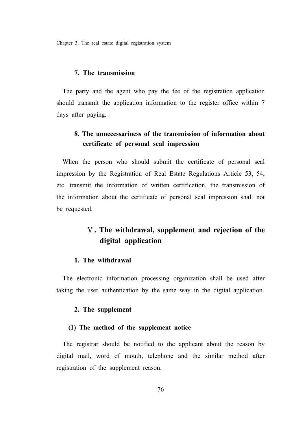#### **7. The transmission**

The party and the agent who pay the fee of the registration application should transmit the application information to the register office within 7 days after paying.

## **8. The unnecessariness of the transmission of information about certificate of personal seal impression**

When the person who should submit the certificate of personal seal impression by the Registration of Real Estate Regulations Article 53, 54, etc. transmit the information of written certification, the transmission of the information about the certificate of personal seal impression shall not be requested.

# Ⅴ**. The withdrawal, supplement and rejection of the digital application**

## **1. The withdrawal**

The electronic information processing organization shall be used after taking the user authentication by the same way in the digital application.

#### **2. The supplement**

#### **(1) The method of the supplement notice**

The registrar should be notified to the applicant about the reason by digital mail, word of mouth, telephone and the similar method after registration of the supplement reason.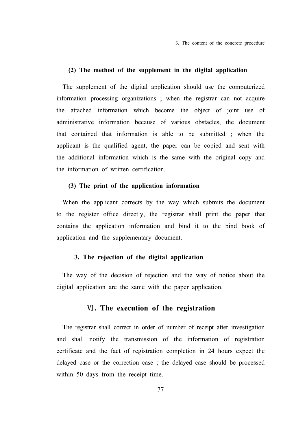3. The content of the concrete procedure

#### **(2) The method of the supplement in the digital application**

The supplement of the digital application should use the computerized information processing organizations ; when the registrar can not acquire the attached information which become the object of joint use of administrative information because of various obstacles, the document that contained that information is able to be submitted ; when the applicant is the qualified agent, the paper can be copied and sent with the additional information which is the same with the original copy and the information of written certification.

### **(3) The print of the application information**

When the applicant corrects by the way which submits the document to the register office directly, the registrar shall print the paper that contains the application information and bind it to the bind book of application and the supplementary document.

#### **3. The rejection of the digital application**

The way of the decision of rejection and the way of notice about the digital application are the same with the paper application.

## Ⅵ**. The execution of the registration**

The registrar shall correct in order of number of receipt after investigation and shall notify the transmission of the information of registration certificate and the fact of registration completion in 24 hours expect the delayed case or the correction case ; the delayed case should be processed within 50 days from the receipt time.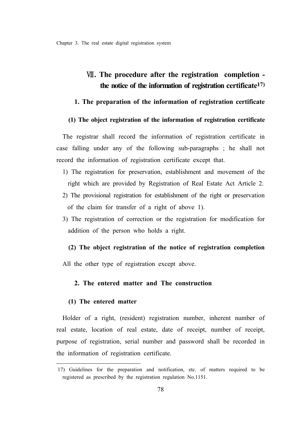## Ⅶ**. The procedure after the registration completion the notice of the information of registration certificate17)**

## **1. The preparation of the information of registration certificate**

## **(1) The object registration of the information of registration certificate**

The registrar shall record the information of registration certificate in case falling under any of the following sub-paragraphs ; he shall not record the information of registration certificate except that.

- 1) The registration for preservation, establishment and movement of the right which are provided by Registration of Real Estate Act Article 2.
- 2) The provisional registration for establishment of the right or preservation of the claim for transfer of a right of above 1).
- 3) The registration of correction or the registration for modification for addition of the person who holds a right.
	- **(2) The object registration of the notice of registration completion**

All the other type of registration except above.

## **2. The entered matter and The construction**

## **(1) The entered matter**

Holder of a right, (resident) registration number, inherent number of real estate, location of real estate, date of receipt, number of receipt, purpose of registration, serial number and password shall be recorded in the information of registration certificate.

<sup>17)</sup> Guidelines for the preparation and notification, etc. of matters required to be registered as prescribed by the registration regulation No.1151.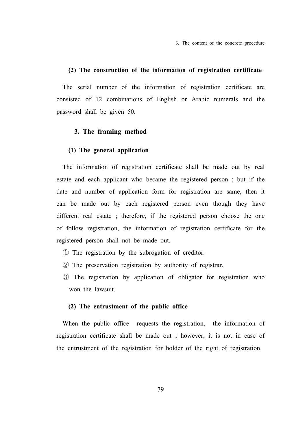3. The content of the concrete procedure

#### **(2) The construction of the information of registration certificate**

The serial number of the information of registration certificate are consisted of 12 combinations of English or Arabic numerals and the password shall be given 50.

#### **3. The framing method**

#### **(1) The general application**

The information of registration certificate shall be made out by real estate and each applicant who became the registered person ; but if the date and number of application form for registration are same, then it can be made out by each registered person even though they have different real estate ; therefore, if the registered person choose the one of follow registration, the information of registration certificate for the registered person shall not be made out.

- ① The registration by the subrogation of creditor.
- ② The preservation registration by authority of registrar.
- ③ The registration by application of obligator for registration who won the lawsuit.

#### **(2) The entrustment of the public office**

When the public office requests the registration, the information of registration certificate shall be made out ; however, it is not in case of the entrustment of the registration for holder of the right of registration.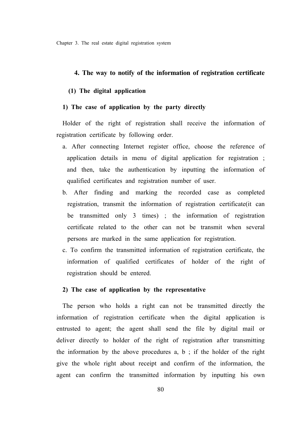#### **4. The way to notify of the information of registration certificate**

### **(1) The digital application**

## **1) The case of application by the party directly**

Holder of the right of registration shall receive the information of registration certificate by following order.

- a. After connecting Internet register office, choose the reference of application details in menu of digital application for registration ; and then, take the authentication by inputting the information of qualified certificates and registration number of user.
- b. After finding and marking the recorded case as completed registration, transmit the information of registration certificate(it can be transmitted only 3 times) ; the information of registration certificate related to the other can not be transmit when several persons are marked in the same application for registration.
- c. To confirm the transmitted information of registration certificate, the information of qualified certificates of holder of the right of registration should be entered.

#### **2) The case of application by the representative**

The person who holds a right can not be transmitted directly the information of registration certificate when the digital application is entrusted to agent; the agent shall send the file by digital mail or deliver directly to holder of the right of registration after transmitting the information by the above procedures  $a, b$ ; if the holder of the right give the whole right about receipt and confirm of the information, the agent can confirm the transmitted information by inputting his own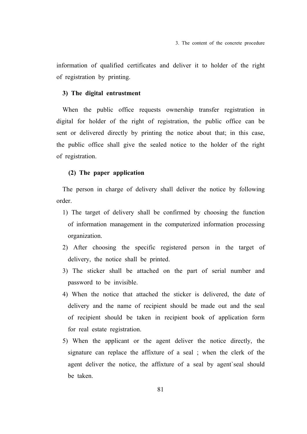information of qualified certificates and deliver it to holder of the right of registration by printing.

#### **3) The digital entrustment**

When the public office requests ownership transfer registration in digital for holder of the right of registration, the public office can be sent or delivered directly by printing the notice about that; in this case, the public office shall give the sealed notice to the holder of the right of registration.

### **(2) The paper application**

The person in charge of delivery shall deliver the notice by following order.

- 1) The target of delivery shall be confirmed by choosing the function of information management in the computerized information processing organization.
- 2) After choosing the specific registered person in the target of delivery, the notice shall be printed.
- 3) The sticker shall be attached on the part of serial number and password to be invisible.
- 4) When the notice that attached the sticker is delivered, the date of delivery and the name of recipient should be made out and the seal of recipient should be taken in recipient book of application form for real estate registration.
- 5) When the applicant or the agent deliver the notice directly, the signature can replace the affixture of a seal ; when the clerk of the agent deliver the notice, the affixture of a seal by agent`seal should be taken.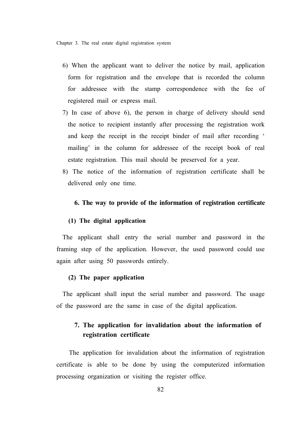- 6) When the applicant want to deliver the notice by mail, application form for registration and the envelope that is recorded the column for addressee with the stamp correspondence with the fee of registered mail or express mail.
- 7) In case of above 6), the person in charge of delivery should send the notice to recipient instantly after processing the registration work and keep the receipt in the receipt binder of mail after recording ' mailing' in the column for addressee of the receipt book of real estate registration. This mail should be preserved for a year.
- 8) The notice of the information of registration certificate shall be delivered only one time.

### **6. The way to provide of the information of registration certificate**

#### **(1) The digital application**

The applicant shall entry the serial number and password in the framing step of the application. However, the used password could use again after using 50 passwords entirely.

## **(2) The paper application**

The applicant shall input the serial number and password. The usage of the password are the same in case of the digital application.

## **7. The application for invalidation about the information of registration certificate**

 The application for invalidation about the information of registration certificate is able to be done by using the computerized information processing organization or visiting the register office.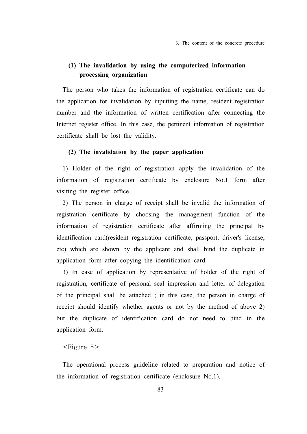3. The content of the concrete procedure

## **(1) The invalidation by using the computerized information processing organization**

The person who takes the information of registration certificate can do the application for invalidation by inputting the name, resident registration number and the information of written certification after connecting the Internet register office. In this case, the pertinent information of registration certificate shall be lost the validity.

## **(2) The invalidation by the paper application**

1) Holder of the right of registration apply the invalidation of the information of registration certificate by enclosure No.1 form after visiting the register office.

2) The person in charge of receipt shall be invalid the information of registration certificate by choosing the management function of the information of registration certificate after affirming the principal by identification card(resident registration certificate, passport, driver's license, etc) which are shown by the applicant and shall bind the duplicate in application form after copying the identification card.

3) In case of application by representative of holder of the right of registration, certificate of personal seal impression and letter of delegation of the principal shall be attached ; in this case, the person in charge of receipt should identify whether agents or not by the method of above 2) but the duplicate of identification card do not need to bind in the application form.

#### $\leq$ Figure 5 $>$

The operational process guideline related to preparation and notice of the information of registration certificate (enclosure No.1).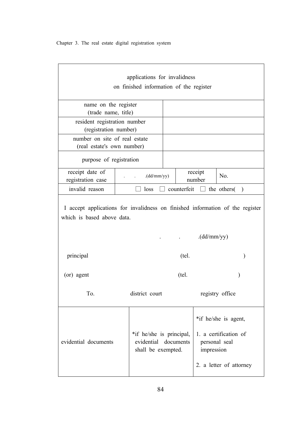| applications for invalidness                                                                                |                                                              |                                                                                           |  |                         |
|-------------------------------------------------------------------------------------------------------------|--------------------------------------------------------------|-------------------------------------------------------------------------------------------|--|-------------------------|
| on finished information of the register                                                                     |                                                              |                                                                                           |  |                         |
| name on the register<br>(trade name, title)                                                                 |                                                              |                                                                                           |  |                         |
| resident registration number<br>(registration number)                                                       |                                                              |                                                                                           |  |                         |
| number on site of real estate<br>(real estate's own number)                                                 |                                                              |                                                                                           |  |                         |
| purpose of registration                                                                                     |                                                              |                                                                                           |  |                         |
| receipt date of<br>registration case                                                                        | receipt<br>(dd/mm/yy)<br>No.<br>number                       |                                                                                           |  |                         |
| invalid reason                                                                                              | loss<br>counterfeit $\Box$ the others<br>$\lambda$           |                                                                                           |  |                         |
| I accept applications for invalidness on finished information of the register<br>which is based above data. |                                                              |                                                                                           |  |                         |
|                                                                                                             | (dd/mm/yy)                                                   |                                                                                           |  |                         |
| principal                                                                                                   |                                                              | (tel.                                                                                     |  |                         |
| (or) agent                                                                                                  |                                                              | (tel.                                                                                     |  |                         |
| To.                                                                                                         | district court                                               |                                                                                           |  | registry office         |
|                                                                                                             |                                                              | *if he/she is agent,<br>1. a certification of<br>documents<br>personal seal<br>impression |  |                         |
| evidential documents                                                                                        | *if he/she is principal,<br>evidential<br>shall be exempted. |                                                                                           |  |                         |
|                                                                                                             |                                                              |                                                                                           |  | 2. a letter of attorney |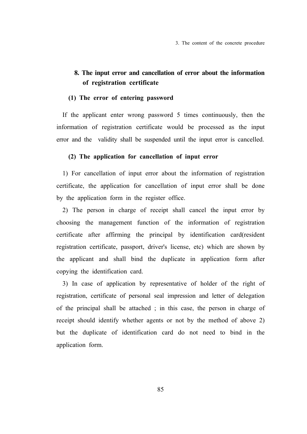## **8. The input error and cancellation of error about the information of registration certificate**

### **(1) The error of entering password**

If the applicant enter wrong password 5 times continuously, then the information of registration certificate would be processed as the input error and the validity shall be suspended until the input error is cancelled.

#### **(2) The application for cancellation of input error**

1) For cancellation of input error about the information of registration certificate, the application for cancellation of input error shall be done by the application form in the register office.

2) The person in charge of receipt shall cancel the input error by choosing the management function of the information of registration certificate after affirming the principal by identification card(resident registration certificate, passport, driver's license, etc) which are shown by the applicant and shall bind the duplicate in application form after copying the identification card.

3) In case of application by representative of holder of the right of registration, certificate of personal seal impression and letter of delegation of the principal shall be attached ; in this case, the person in charge of receipt should identify whether agents or not by the method of above 2) but the duplicate of identification card do not need to bind in the application form.

85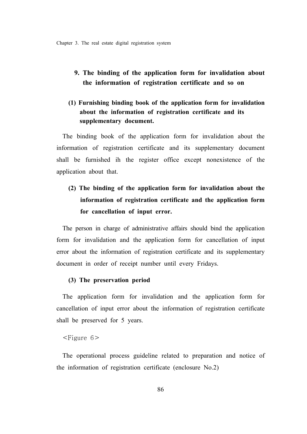## **9. The binding of the application form for invalidation about the information of registration certificate and so on**

## **(1) Furnishing binding book of the application form for invalidation about the information of registration certificate and its supplementary document.**

The binding book of the application form for invalidation about the information of registration certificate and its supplementary document shall be furnished ih the register office except nonexistence of the application about that.

# **(2) The binding of the application form for invalidation about the information of registration certificate and the application form for cancellation of input error.**

The person in charge of administrative affairs should bind the application form for invalidation and the application form for cancellation of input error about the information of registration certificate and its supplementary document in order of receipt number until every Fridays.

## **(3) The preservation period**

The application form for invalidation and the application form for cancellation of input error about the information of registration certificate shall be preserved for 5 years.

## $<$ Figure 6 $>$

The operational process guideline related to preparation and notice of the information of registration certificate (enclosure No.2)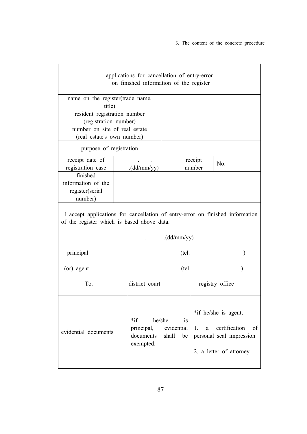3. The content of the concrete procedure

| applications for cancellation of entry-error<br>on finished information of the register                                     |                                                                    |                          |               |                                                                                                    |
|-----------------------------------------------------------------------------------------------------------------------------|--------------------------------------------------------------------|--------------------------|---------------|----------------------------------------------------------------------------------------------------|
| name on the register(trade name,<br>title)                                                                                  |                                                                    |                          |               |                                                                                                    |
| resident registration number<br>(registration number)                                                                       |                                                                    |                          |               |                                                                                                    |
| number on site of real estate<br>(real estate's own number)                                                                 |                                                                    |                          |               |                                                                                                    |
| purpose of registration                                                                                                     |                                                                    |                          |               |                                                                                                    |
| receipt date of<br>registration case                                                                                        | receipt<br>(dd/mm/yy)<br>number                                    |                          | No.           |                                                                                                    |
| finished<br>information of the<br>register(serial<br>number)                                                                |                                                                    |                          |               |                                                                                                    |
| I accept applications for cancellation of entry-error on finished information<br>of the register which is based above data. |                                                                    |                          |               |                                                                                                    |
|                                                                                                                             |                                                                    | (dd/mm/yy)               |               |                                                                                                    |
| principal                                                                                                                   |                                                                    | (tel.                    |               | $\mathcal{E}$                                                                                      |
| (or) agent                                                                                                                  |                                                                    | (tel.<br>$\lambda$       |               |                                                                                                    |
| T <sub>0</sub>                                                                                                              | district court                                                     | registry office          |               |                                                                                                    |
| evidential documents                                                                                                        | $*if$<br>he/she<br>principal, evidential<br>documents<br>exempted. | <i>is</i><br>shall<br>be | $1_{-}$<br>a. | *if he/she is agent,<br>certification<br>of<br>personal seal impression<br>2. a letter of attorney |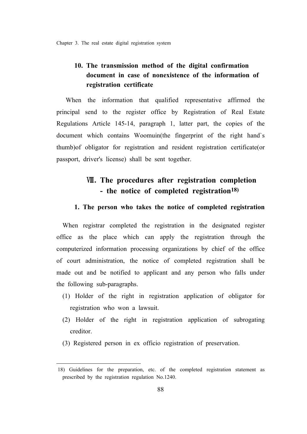## **10. The transmission method of the digital confirmation document in case of nonexistence of the information of registration certificate**

 When the information that qualified representative affirmed the principal send to the register office by Registration of Real Estate Regulations Article 145-14, paragraph 1, latter part, the copies of the document which contains Woomuin(the fingerprint of the right hand`s thumb)of obligator for registration and resident registration certificate(or passport, driver's license) shall be sent together.

# Ⅷ**. The procedures after registration completion - the notice of completed registration18)**

### **1. The person who takes the notice of completed registration**

When registrar completed the registration in the designated register office as the place which can apply the registration through the computerized information processing organizations by chief of the office of court administration, the notice of completed registration shall be made out and be notified to applicant and any person who falls under the following sub-paragraphs.

- (1) Holder of the right in registration application of obligator for registration who won a lawsuit.
- (2) Holder of the right in registration application of subrogating creditor.
- (3) Registered person in ex officio registration of preservation.

<sup>18)</sup> Guidelines for the preparation, etc. of the completed registration statement as prescribed by the registration regulation No.1240.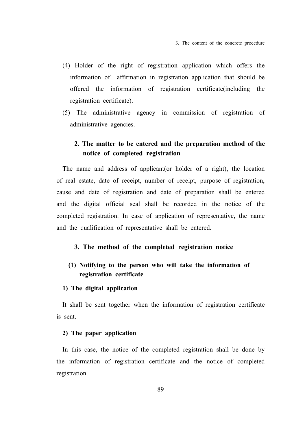- (4) Holder of the right of registration application which offers the information of affirmation in registration application that should be offered the information of registration certificate(including the registration certificate).
- (5) The administrative agency in commission of registration of administrative agencies.

## **2. The matter to be entered and the preparation method of the notice of completed registration**

The name and address of applicant(or holder of a right), the location of real estate, date of receipt, number of receipt, purpose of registration, cause and date of registration and date of preparation shall be entered and the digital official seal shall be recorded in the notice of the completed registration. In case of application of representative, the name and the qualification of representative shall be entered.

## **3. The method of the completed registration notice**

## **(1) Notifying to the person who will take the information of registration certificate**

## **1) The digital application**

It shall be sent together when the information of registration certificate is sent.

#### **2) The paper application**

In this case, the notice of the completed registration shall be done by the information of registration certificate and the notice of completed registration.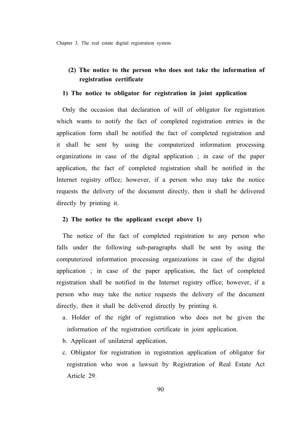## **(2) The notice to the person who does not take the information of registration certificate**

#### **1) The notice to obligator for registration in joint application**

Only the occasion that declaration of will of obligator for registration which wants to notify the fact of completed registration entries in the application form shall be notified the fact of completed registration and it shall be sent by using the computerized information processing organizations in case of the digital application ; in case of the paper application, the fact of completed registration shall be notified in the Internet registry office; however, if a person who may take the notice requests the delivery of the document directly, then it shall be delivered directly by printing it.

### **2) The notice to the applicant except above 1)**

The notice of the fact of completed registration to any person who falls under the following sub-paragraphs shall be sent by using the computerized information processing organizations in case of the digital application ; in case of the paper application, the fact of completed registration shall be notified in the Internet registry office; however, if a person who may take the notice requests the delivery of the document directly, then it shall be delivered directly by printing it.

- a. Holder of the right of registration who does not be given the information of the registration certificate in joint application.
- b. Applicant of unilateral application.
- c. Obligator for registration in registration application of obligator for registration who won a lawsuit by Registration of Real Estate Act Article 29.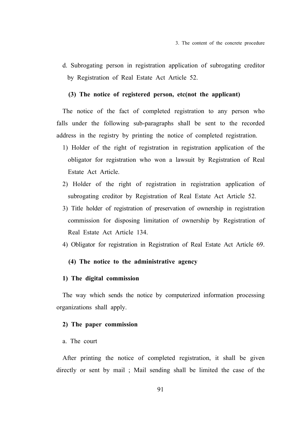d. Subrogating person in registration application of subrogating creditor by Registration of Real Estate Act Article 52.

### **(3) The notice of registered person, etc(not the applicant)**

The notice of the fact of completed registration to any person who falls under the following sub-paragraphs shall be sent to the recorded address in the registry by printing the notice of completed registration.

- 1) Holder of the right of registration in registration application of the obligator for registration who won a lawsuit by Registration of Real Estate Act Article.
- 2) Holder of the right of registration in registration application of subrogating creditor by Registration of Real Estate Act Article 52.
- 3) Title holder of registration of preservation of ownership in registration commission for disposing limitation of ownership by Registration of Real Estate Act Article 134.
- 4) Obligator for registration in Registration of Real Estate Act Article 69.

### **(4) The notice to the administrative agency**

### **1) The digital commission**

The way which sends the notice by computerized information processing organizations shall apply.

### **2) The paper commission**

#### a. The court

After printing the notice of completed registration, it shall be given directly or sent by mail ; Mail sending shall be limited the case of the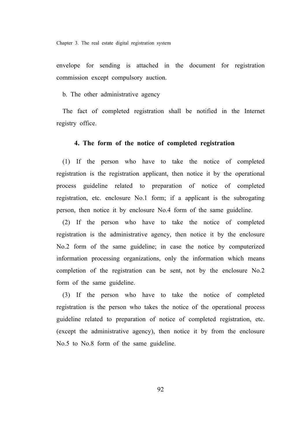envelope for sending is attached in the document for registration commission except compulsory auction.

b. The other administrative agency

The fact of completed registration shall be notified in the Internet registry office.

#### **4. The form of the notice of completed registration**

(1) If the person who have to take the notice of completed registration is the registration applicant, then notice it by the operational process guideline related to preparation of notice of completed registration, etc. enclosure No.1 form; if a applicant is the subrogating person, then notice it by enclosure No.4 form of the same guideline.

(2) If the person who have to take the notice of completed registration is the administrative agency, then notice it by the enclosure No.2 form of the same guideline; in case the notice by computerized information processing organizations, only the information which means completion of the registration can be sent, not by the enclosure No.2 form of the same guideline.

(3) If the person who have to take the notice of completed registration is the person who takes the notice of the operational process guideline related to preparation of notice of completed registration, etc. (except the administrative agency), then notice it by from the enclosure No.5 to No.8 form of the same guideline.

92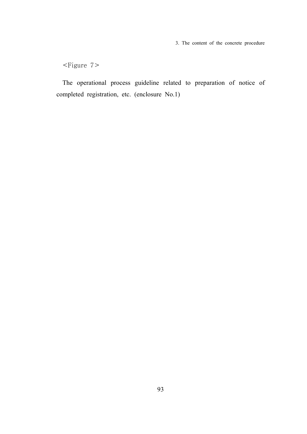3. The content of the concrete procedure

<Figure 7>

The operational process guideline related to preparation of notice of completed registration, etc. (enclosure No.1)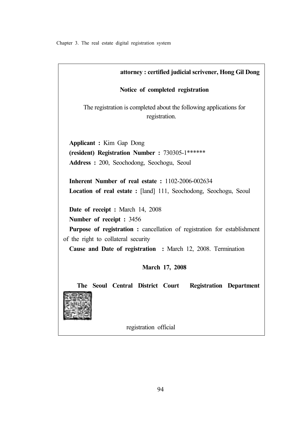| attorney: certified judicial scrivener, Hong Gil Dong                                                                 |  |  |
|-----------------------------------------------------------------------------------------------------------------------|--|--|
| Notice of completed registration                                                                                      |  |  |
| The registration is completed about the following applications for<br>registration.                                   |  |  |
| <b>Applicant : Kim Gap Dong</b>                                                                                       |  |  |
| (resident) Registration Number: 730305-1******                                                                        |  |  |
| Address: 200, Seochodong, Seochogu, Seoul                                                                             |  |  |
| Inherent Number of real estate: 1102-2006-002634<br>Location of real estate : [land] 111, Seochodong, Seochogu, Seoul |  |  |
| <b>Date of receipt : March 14, 2008</b>                                                                               |  |  |
| Number of receipt : 3456                                                                                              |  |  |
| <b>Purpose of registration :</b> cancellation of registration for establishment                                       |  |  |
| of the right to collateral security                                                                                   |  |  |
| Cause and Date of registration : March 12, 2008. Termination                                                          |  |  |
| March 17, 2008                                                                                                        |  |  |
| The Seoul Central District Court<br><b>Registration Department</b>                                                    |  |  |

registration official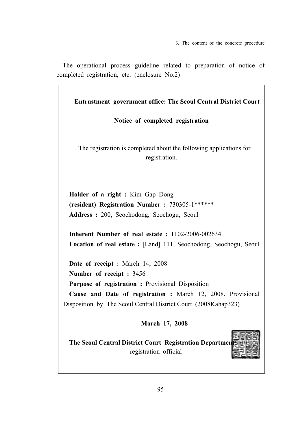3. The content of the concrete procedure

The operational process guideline related to preparation of notice of completed registration, etc. (enclosure No.2)

**Entrustment government office: The Seoul Central District Court**

**Notice of completed registration**

The registration is completed about the following applications for registration.

**Holder of a right :** Kim Gap Dong **(resident) Registration Number :** 730305-1\*\*\*\*\*\* **Address :** 200, Seochodong, Seochogu, Seoul

**Inherent Number of real estate :** 1102-2006-002634 **Location of real estate :** [Land] 111, Seochodong, Seochogu, Seoul

**Date of receipt :** March 14, 2008 **Number of receipt :** 3456 **Purpose of registration :** Provisional Disposition **Cause and Date of registration :** March 12, 2008. Provisional Disposition by The Seoul Central District Court (2008Kahap323)

**March 17, 2008**

**The Seoul Central District Court Registration Departme** registration official

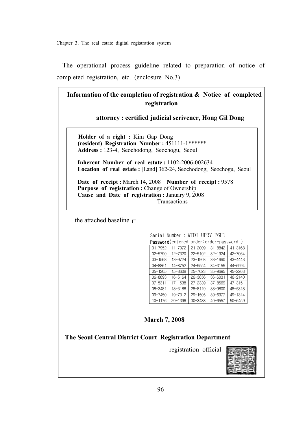The operational process guideline related to preparation of notice of completed registration, etc. (enclosure No.3)

**Information of the completion of registration & Notice of completed registration** 

 **attorney : certified judicial scrivener, Hong Gil Dong**

 **Holder of a right :** Kim Gap Dong  **(resident) Registration Number :** 451111-1\*\*\*\*\*\*  **Address :** 123-4, Seochodong, Seochogu, Seoul

 **Inherent Number of real estate :** 1102-2006-002634  **Location of real estate :** [Land] 362-24, Seochodong, Seochogu, Seoul

 **Date of receipt :** March 14, 2008 **Number of receipt :** 9578  **Purpose of registration :** Change of Ownership  **Cause and Date of registration :** January 9, 2008 Transactions

the attached baseline  $\Gamma$ 

Serial Number : WTDI-UPRV-P6H1 Password(entered order:order-password )

| 11-7072     | $21 - 2009$ | 31-8842     | 41-3168                                       |
|-------------|-------------|-------------|-----------------------------------------------|
| 12-7320     | 22-5102     | $32 - 1924$ | 42-7064                                       |
| 13-9724     | $23 - 1903$ | $33 - 1690$ | 43-4443                                       |
| 14-8752     | 24-5554     | 34-3155     | 44-6994                                       |
| 15-8608     | 25-7023     | 35-9695     | 45-2263                                       |
| 16-5164     | 26-3856     | $36 - 6031$ | $46 - 2140$                                   |
| $17 - 1538$ | $27 - 2339$ | 37-8569     | $47 - 3151$                                   |
| 18-3188     | $28 - 8119$ | 38-9800     | 48-5318                                       |
| 19-7312     | $29 - 1505$ | 39-6977     | 49-1314                                       |
| $20 - 1396$ | 30-3488     | 40-6557     | $50 - 6459$                                   |
|             |             |             | <b>Passworu</b> tentered order.order-password |

### **March 7, 2008**

**The Seoul Central District Court Registration Department**

registration official

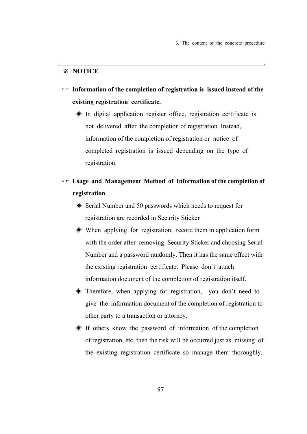## ※ **NOTICE**

- ☞ **Information of the completion of registration is issued instead of the existing registration certificate.**
	- ◈ In digital application register office, registration certificate is not delivered after the completion of registration. Instead, information of the completion of registration or notice of completed registration is issued depending on the type of registration.
- ☞ **Usage and Management Method of Information of the completion of registration** 
	- ◈ Serial Number and 50 passwords which needs to request for registration are recorded in Security Sticker
	- ◈ When applying for registration, record them in application form with the order after removing Security Sticker and choosing Serial Number and a password randomly. Then it has the same effect with the existing registration certificate. Please don`t attach information document of the completion of registration itself.
	- ◈ Therefore, when applying for registration, you don`t need to give the information document of the completion of registration to other party to a transaction or attorney.
	- ◈ If others know the password of information of the completion of registration, etc, then the risk will be occurred just as missing of the existing registration certificate so manage them thoroughly.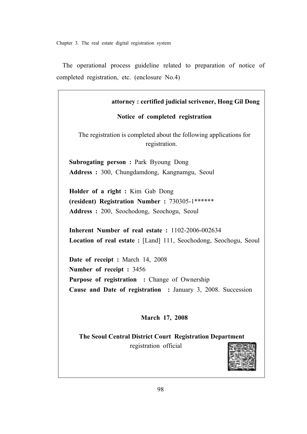The operational process guideline related to preparation of notice of completed registration, etc. (enclosure No.4)

| attorney: certified judicial scrivener, Hong Gil Dong                               |
|-------------------------------------------------------------------------------------|
| Notice of completed registration                                                    |
| The registration is completed about the following applications for<br>registration. |
| <b>Subrogating person: Park Byoung Dong</b>                                         |
| Address: 300, Chungdamdong, Kangnamgu, Seoul                                        |
| Holder of a right : Kim Gab Dong                                                    |
| (resident) Registration Number: 730305-1******                                      |
| Address: 200, Seochodong, Seochogu, Seoul                                           |
| Inherent Number of real estate: 1102-2006-002634                                    |
| Location of real estate : [Land] 111, Seochodong, Seochogu, Seoul                   |
|                                                                                     |
| Date of receipt : March 14, 2008                                                    |
| Number of receipt : 3456                                                            |
| <b>Purpose of registration : Change of Ownership</b>                                |
| Cause and Date of registration : January 3, 2008. Succession                        |
|                                                                                     |
| March 17, 2008                                                                      |
| The Seoul Central District Court Registration Department                            |
| registration official                                                               |

高心歌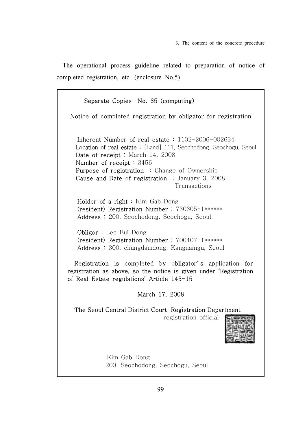The operational process guideline related to preparation of notice of completed registration, etc. (enclosure No.5)

 Separate Copies No. 35 (computing) Notice of completed registration by obligator for registration Inherent Number of real estate : 1102-2006-002634 Location of real estate : [Land] 111, Seochodong, Seochogu, Seoul Date of receipt : March 14, 2008 Number of receipt : 3456 Purpose of registration : Change of Ownership Cause and Date of registration : January 3, 2008. Transactions Holder of a right : Kim Gab Dong (resident) Registration Number : 730305-1\*\*\*\*\*\* Address : 200, Seochodong, Seochogu, Seoul Obligor : Lee Eul Dong (resident) Registration Number : 700407-1\*\*\*\*\*\* Address : 300, chungdamdong, Kangnamgu, Seoul Registration is completed by obligator`s application for registration as above, so the notice is given under 'Registration of Real Estate regulations' Article 145-15 March 17, 2008 The Seoul Central District Court Registration Department registration official Kim Gab Dong 200, Seochodong, Seochogu, Seoul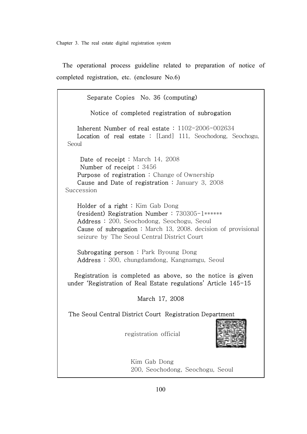The operational process guideline related to preparation of notice of completed registration, etc. (enclosure No.6)

 Separate Copies No. 36 (computing) Notice of completed registration of subrogation Inherent Number of real estate : 1102-2006-002634 Location of real estate : [Land] 111, Seochodong, Seochogu, Seoul Date of receipt : March 14, 2008 Number of receipt : 3456 Purpose of registration: Change of Ownership Cause and Date of registration : January 3, 2008 Succession Holder of a right : Kim Gab Dong (resident) Registration Number : 730305-1\*\*\*\*\*\* Address: 200, Seochodong, Seochogu, Seoul Cause of subrogation : March 13, 2008. decision of provisional seizure by The Seoul Central District Court Subrogating person : Park Byoung Dong Address : 300, chungdamdong, Kangnamgu, Seoul Registration is completed as above, so the notice is given under 'Registration of Real Estate regulations' Article 145-15 March 17, 2008 The Seoul Central District Court Registration Department registration official Kim Gab Dong 200, Seochodong, Seochogu, Seoul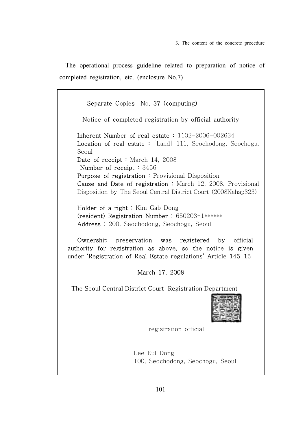The operational process guideline related to preparation of notice of completed registration, etc. (enclosure No.7)

 Separate Copies No. 37 (computing) Notice of completed registration by official authority Inherent Number of real estate : 1102-2006-002634 Location of real estate : [Land] 111, Seochodong, Seochogu, Seoul Date of receipt : March 14, 2008 Number of receipt : 3456 Purpose of registration : Provisional Disposition Cause and Date of registration : March 12, 2008. Provisional Disposition by The Seoul Central District Court (2008Kahap323) Holder of a right : Kim Gab Dong (resident) Registration Number : 650203-1\*\*\*\*\*\* Address: 200, Seochodong, Seochogu, Seoul Ownership preservation was registered by official authority for registration as above, so the notice is given under 'Registration of Real Estate regulations' Article 145-15 March 17, 2008 The Seoul Central District Court Registration Department registration official Lee Eul Dong 100, Seochodong, Seochogu, Seoul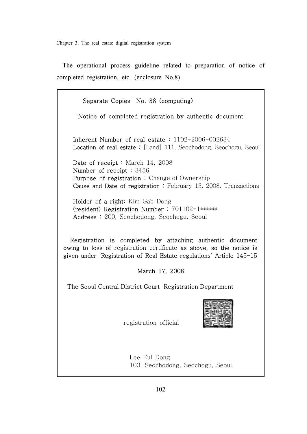The operational process guideline related to preparation of notice of completed registration, etc. (enclosure No.8)

 Separate Copies No. 38 (computing) Notice of completed registration by authentic document Inherent Number of real estate : 1102-2006-002634 Location of real estate: [Land] 111, Seochodong, Seochogu, Seoul Date of receipt : March 14, 2008 Number of receipt : 3456 Purpose of registration : Change of Ownership Cause and Date of registration : February 13, 2008. Transactions Holder of a right: Kim Gab Dong (resident) Registration Number : 701102-1\*\*\*\*\*\* Address : 200, Seochodong, Seochogu, Seoul Registration is completed by attaching authentic document owing to loss of registration certificate as above, so the notice is given under 'Registration of Real Estate regulations' Article 145-15 March 17, 2008 The Seoul Central District Court Registration Department registration official

 Lee Eul Dong 100, Seochodong, Seochogu, Seoul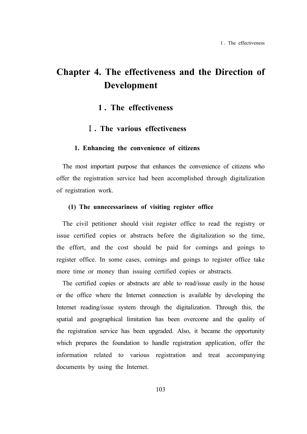# **Chapter 4. The effectiveness and the Direction of Development**

## **1 . The effectiveness**

## Ⅰ**. The various effectiveness**

#### **1. Enhancing the convenience of citizens**

The most important purpose that enhances the convenience of citizens who offer the registration service had been accomplished through digitalization of registration work.

## **(1) The unnecessariness of visiting register office**

The civil petitioner should visit register office to read the registry or issue certified copies or abstracts before the digitalization so the time, the effort, and the cost should be paid for comings and goings to register office. In some cases, comings and goings to register office take more time or money than issuing certified copies or abstracts.

The certified copies or abstracts are able to read/issue easily in the house or the office where the Internet connection is available by developing the Internet reading/issue system through the digitalization. Through this, the spatial and geographical limitation has been overcome and the quality of the registration service has been upgraded. Also, it became the opportunity which prepares the foundation to handle registration application, offer the information related to various registration and treat accompanying documents by using the Internet.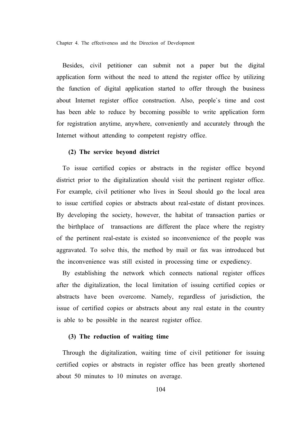Chapter 4. The effectiveness and the Direction of Development

Besides, civil petitioner can submit not a paper but the digital application form without the need to attend the register office by utilizing the function of digital application started to offer through the business about Internet register office construction. Also, people`s time and cost has been able to reduce by becoming possible to write application form for registration anytime, anywhere, conveniently and accurately through the Internet without attending to competent registry office.

#### **(2) The service beyond district**

To issue certified copies or abstracts in the register office beyond district prior to the digitalization should visit the pertinent register office. For example, civil petitioner who lives in Seoul should go the local area to issue certified copies or abstracts about real-estate of distant provinces. By developing the society, however, the habitat of transaction parties or the birthplace of transactions are different the place where the registry of the pertinent real-estate is existed so inconvenience of the people was aggravated. To solve this, the method by mail or fax was introduced but the inconvenience was still existed in processing time or expediency.

By establishing the network which connects national register offices after the digitalization, the local limitation of issuing certified copies or abstracts have been overcome. Namely, regardless of jurisdiction, the issue of certified copies or abstracts about any real estate in the country is able to be possible in the nearest register office.

### **(3) The reduction of waiting time**

Through the digitalization, waiting time of civil petitioner for issuing certified copies or abstracts in register office has been greatly shortened about 50 minutes to 10 minutes on average.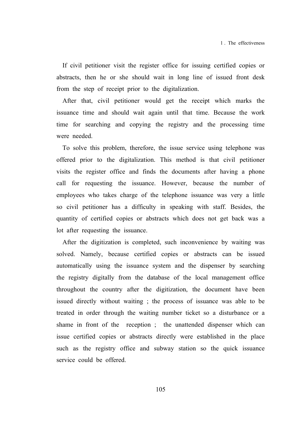If civil petitioner visit the register office for issuing certified copies or abstracts, then he or she should wait in long line of issued front desk from the step of receipt prior to the digitalization.

After that, civil petitioner would get the receipt which marks the issuance time and should wait again until that time. Because the work time for searching and copying the registry and the processing time were needed.

To solve this problem, therefore, the issue service using telephone was offered prior to the digitalization. This method is that civil petitioner visits the register office and finds the documents after having a phone call for requesting the issuance. However, because the number of employees who takes charge of the telephone issuance was very a little so civil petitioner has a difficulty in speaking with staff. Besides, the quantity of certified copies or abstracts which does not get back was a lot after requesting the issuance.

After the digitization is completed, such inconvenience by waiting was solved. Namely, because certified copies or abstracts can be issued automatically using the issuance system and the dispenser by searching the registry digitally from the database of the local management office throughout the country after the digitization, the document have been issued directly without waiting ; the process of issuance was able to be treated in order through the waiting number ticket so a disturbance or a shame in front of the reception ; the unattended dispenser which can issue certified copies or abstracts directly were established in the place such as the registry office and subway station so the quick issuance service could be offered.

105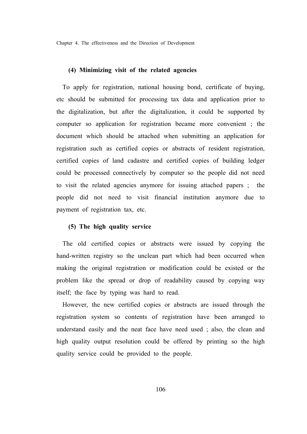Chapter 4. The effectiveness and the Direction of Development

#### **(4) Minimizing visit of the related agencies**

To apply for registration, national housing bond, certificate of buying, etc should be submitted for processing tax data and application prior to the digitalization, but after the digitalization, it could be supported by computer so application for registration became more convenient ; the document which should be attached when submitting an application for registration such as certified copies or abstracts of resident registration, certified copies of land cadastre and certified copies of building ledger could be processed connectively by computer so the people did not need to visit the related agencies anymore for issuing attached papers ; the people did not need to visit financial institution anymore due to payment of registration tax, etc.

#### **(5) The high quality service**

The old certified copies or abstracts were issued by copying the hand-written registry so the unclean part which had been occurred when making the original registration or modification could be existed or the problem like the spread or drop of readability caused by copying way itself; the face by typing was hard to read.

However, the new certified copies or abstracts are issued through the registration system so contents of registration have been arranged to understand easily and the neat face have need used ; also, the clean and high quality output resolution could be offered by printing so the high quality service could be provided to the people.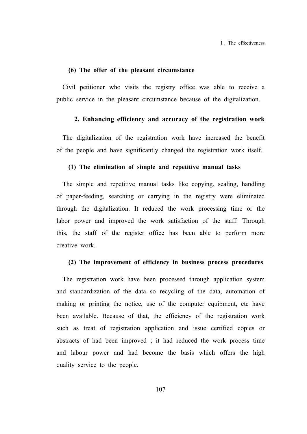1 . The effectiveness

## **(6) The offer of the pleasant circumstance**

Civil petitioner who visits the registry office was able to receive a public service in the pleasant circumstance because of the digitalization.

#### **2. Enhancing efficiency and accuracy of the registration work**

The digitalization of the registration work have increased the benefit of the people and have significantly changed the registration work itself.

## **(1) The elimination of simple and repetitive manual tasks**

The simple and repetitive manual tasks like copying, sealing, handling of paper-feeding, searching or carrying in the registry were eliminated through the digitalization. It reduced the work processing time or the labor power and improved the work satisfaction of the staff. Through this, the staff of the register office has been able to perform more creative work.

#### **(2) The improvement of efficiency in business process procedures**

The registration work have been processed through application system and standardization of the data so recycling of the data, automation of making or printing the notice, use of the computer equipment, etc have been available. Because of that, the efficiency of the registration work such as treat of registration application and issue certified copies or abstracts of had been improved ; it had reduced the work process time and labour power and had become the basis which offers the high quality service to the people.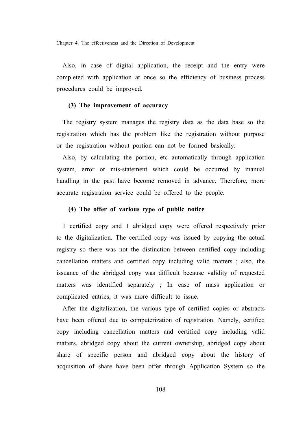Chapter 4. The effectiveness and the Direction of Development

Also, in case of digital application, the receipt and the entry were completed with application at once so the efficiency of business process procedures could be improved.

### **(3) The improvement of accuracy**

The registry system manages the registry data as the data base so the registration which has the problem like the registration without purpose or the registration without portion can not be formed basically.

Also, by calculating the portion, etc automatically through application system, error or mis-statement which could be occurred by manual handling in the past have become removed in advance. Therefore, more accurate registration service could be offered to the people.

#### **(4) The offer of various type of public notice**

1 certified copy and 1 abridged copy were offered respectively prior to the digitalization. The certified copy was issued by copying the actual registry so there was not the distinction between certified copy including cancellation matters and certified copy including valid matters ; also, the issuance of the abridged copy was difficult because validity of requested matters was identified separately ; In case of mass application or complicated entries, it was more difficult to issue.

After the digitalization, the various type of certified copies or abstracts have been offered due to computerization of registration. Namely, certified copy including cancellation matters and certified copy including valid matters, abridged copy about the current ownership, abridged copy about share of specific person and abridged copy about the history of acquisition of share have been offer through Application System so the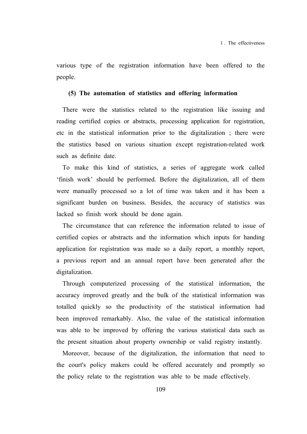various type of the registration information have been offered to the people.

#### **(5) The automation of statistics and offering information**

There were the statistics related to the registration like issuing and reading certified copies or abstracts, processing application for registration, etc in the statistical information prior to the digitalization ; there were the statistics based on various situation except registration-related work such as definite date.

To make this kind of statistics, a series of aggregate work called 'finish work' should be performed. Before the digitalization, all of them were manually processed so a lot of time was taken and it has been a significant burden on business. Besides, the accuracy of statistics was lacked so finish work should be done again.

The circumstance that can reference the information related to issue of certified copies or abstracts and the information which inputs for handing application for registration was made so a daily report, a monthly report, a previous report and an annual report have been generated after the digitalization.

Through computerized processing of the statistical information, the accuracy improved greatly and the bulk of the statistical information was totalled quickly so the productivity of the statistical information had been improved remarkably. Also, the value of the statistical information was able to be improved by offering the various statistical data such as the present situation about property ownership or valid registry instantly.

Moreover, because of the digitalization, the information that need to the court's policy makers could be offered accurately and promptly so the policy relate to the registration was able to be made effectively.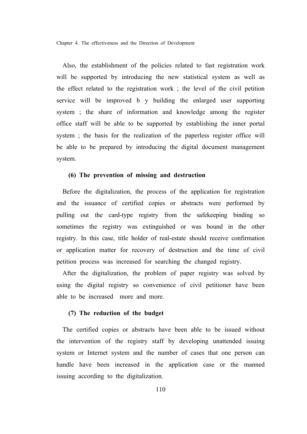Also, the establishment of the policies related to fast registration work will be supported by introducing the new statistical system as well as the effect related to the registration work ; the level of the civil petition service will be improved b y building the enlarged user supporting system ; the share of information and knowledge among the register office staff will be able to be supported by establishing the inner portal system ; the basis for the realization of the paperless register office will be able to be prepared by introducing the digital document management system.

#### **(6) The prevention of missing and destruction**

Before the digitalization, the process of the application for registration and the issuance of certified copies or abstracts were performed by pulling out the card-type registry from the safekeeping binding so sometimes the registry was extinguished or was bound in the other registry. In this case, title holder of real-estate should receive confirmation or application matter for recovery of destruction and the time of civil petition process was increased for searching the changed registry.

After the digitalization, the problem of paper registry was solved by using the digital registry so convenience of civil petitioner have been able to be increased more and more.

### **(7) The reduction of the budget**

The certified copies or abstracts have been able to be issued without the intervention of the registry staff by developing unattended issuing system or Internet system and the number of cases that one person can handle have been increased in the application case or the manned issuing according to the digitalization.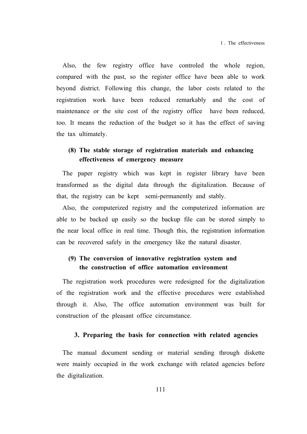Also, the few registry office have controled the whole region, compared with the past, so the register office have been able to work beyond district. Following this change, the labor costs related to the registration work have been reduced remarkably and the cost of maintenance or the site cost of the registry office have been reduced, too. It means the reduction of the budget so it has the effect of saving the tax ultimately.

## **(8) The stable storage of registration materials and enhancing effectiveness of emergency measure**

The paper registry which was kept in register library have been transformed as the digital data through the digitalization. Because of that, the registry can be kept semi-permanently and stably.

Also, the computerized registry and the computerized information are able to be backed up easily so the backup file can be stored simply to the near local office in real time. Though this, the registration information can be recovered safely in the emergency like the natural disaster.

## **(9) The conversion of innovative registration system and the construction of office automation environment**

The registration work procedures were redesigned for the digitalization of the registration work and the effective procedures were established through it. Also, The office automation environment was built for construction of the pleasant office circumstance.

#### **3. Preparing the basis for connection with related agencies**

The manual document sending or material sending through diskette were mainly occupied in the work exchange with related agencies before the digitalization.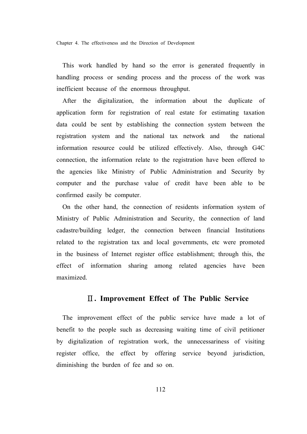This work handled by hand so the error is generated frequently in handling process or sending process and the process of the work was inefficient because of the enormous throughput.

After the digitalization, the information about the duplicate of application form for registration of real estate for estimating taxation data could be sent by establishing the connection system between the registration system and the national tax network and the national information resource could be utilized effectively. Also, through G4C connection, the information relate to the registration have been offered to the agencies like Ministry of Public Administration and Security by computer and the purchase value of credit have been able to be confirmed easily be computer.

On the other hand, the connection of residents information system of Ministry of Public Administration and Security, the connection of land cadastre/building ledger, the connection between financial Institutions related to the registration tax and local governments, etc were promoted in the business of Internet register office establishment; through this, the effect of information sharing among related agencies have been maximized.

### Ⅱ**. Improvement Effect of The Public Service**

The improvement effect of the public service have made a lot of benefit to the people such as decreasing waiting time of civil petitioner by digitalization of registration work, the unnecessariness of visiting register office, the effect by offering service beyond jurisdiction, diminishing the burden of fee and so on.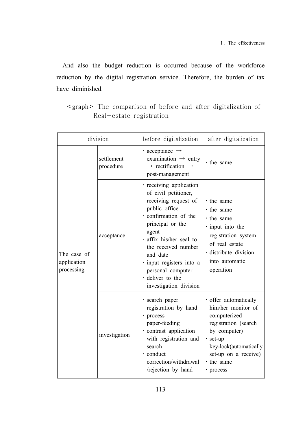And also the budget reduction is occurred because of the workforce reduction by the digital registration service. Therefore, the burden of tax have diminished.

| division                                 |                         | before digitalization                                                                                                                                                                                                                                                                                       | after digitalization                                                                                                                                                                         |
|------------------------------------------|-------------------------|-------------------------------------------------------------------------------------------------------------------------------------------------------------------------------------------------------------------------------------------------------------------------------------------------------------|----------------------------------------------------------------------------------------------------------------------------------------------------------------------------------------------|
| The case of<br>application<br>processing | settlement<br>procedure | $\cdot$ acceptance $\rightarrow$<br>examination $\rightarrow$ entry<br>$\rightarrow$ rectification $\rightarrow$<br>post-management                                                                                                                                                                         | • the same                                                                                                                                                                                   |
|                                          | acceptance              | · receiving application<br>of civil petitioner,<br>receiving request of<br>public office<br>· confirmation of the<br>principal or the<br>agent<br>· affix his/her seal to<br>the received number<br>and date<br>· input registers into a<br>personal computer<br>· deliver to the<br>investigation division | • the same<br>• the same<br>• the same<br>$\cdot$ input into the<br>registration system<br>of real estate<br>· distribute division<br>into automatic<br>operation                            |
|                                          | investigation           | · search paper<br>registration by hand<br>· process<br>paper-feeding<br>· contrast application<br>with registration and<br>search<br>· conduct<br>correction/withdrawal<br>/rejection by hand                                                                                                               | · offer automatically<br>him/her monitor of<br>computerized<br>registration (search<br>by computer)<br>· set-up<br>key-lock(automatically<br>set-up on a receive)<br>· the same<br>· process |

<graph> The comparison of before and after digitalization of Real-estate registration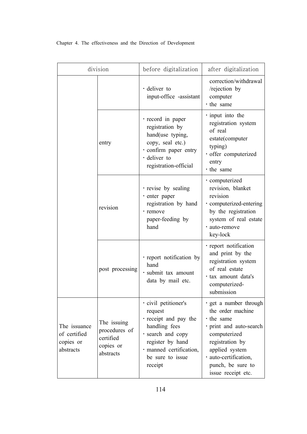| division                                               |                                                                     | before digitalization                                                                                                                                                        | after digitalization                                                                                                                                                                                                |
|--------------------------------------------------------|---------------------------------------------------------------------|------------------------------------------------------------------------------------------------------------------------------------------------------------------------------|---------------------------------------------------------------------------------------------------------------------------------------------------------------------------------------------------------------------|
|                                                        |                                                                     | $\cdot$ deliver to<br>input-office -assistant                                                                                                                                | correction/withdrawal<br>/rejection by<br>computer<br>· the same                                                                                                                                                    |
|                                                        | entry                                                               | · record in paper<br>registration by<br>hand(use typing,<br>copy, seal etc.)<br>· confirm paper entry<br>· deliver to<br>registration-official                               | · input into the<br>registration system<br>of real<br>estate(computer<br>typing)<br>· offer computerized<br>entry<br>· the same                                                                                     |
|                                                        | revision                                                            | · revise by sealing<br>· enter paper<br>registration by hand<br>· remove<br>paper-feeding by<br>hand                                                                         | · computerized<br>revision, blanket<br>revision<br>· computerized-entering<br>by the registration<br>system of real estate<br>· auto-remove<br>key-lock                                                             |
|                                                        | post processing                                                     | · report notification by<br>hand<br>· submit tax amount<br>data by mail etc.                                                                                                 | · report notification<br>and print by the<br>registration system<br>of real estate<br>• tax amount data's<br>computerized-<br>submission                                                                            |
| The issuance<br>of certified<br>copies or<br>abstracts | The issuing<br>procedures of<br>certified<br>copies or<br>abstracts | · civil petitioner's<br>request<br>· receipt and pay the<br>handling fees<br>· search and copy<br>register by hand<br>· manned certification,<br>be sure to issue<br>receipt | · get a number through<br>the order machine<br>$\cdot$ the same<br>· print and auto-search<br>computerized<br>registration by<br>applied system<br>· auto-certification,<br>punch, be sure to<br>issue receipt etc. |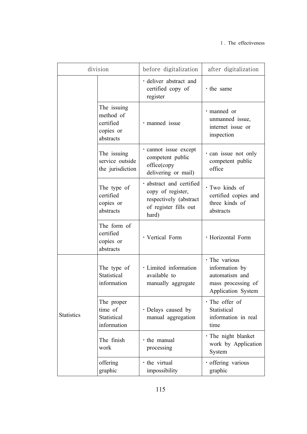| division          |                                                                 | before digitalization                                                                                     | after digitalization                                                                          |
|-------------------|-----------------------------------------------------------------|-----------------------------------------------------------------------------------------------------------|-----------------------------------------------------------------------------------------------|
|                   |                                                                 | · deliver abstract and<br>certified copy of<br>register                                                   | · the same                                                                                    |
|                   | The issuing<br>method of<br>certified<br>copies or<br>abstracts | · manned issue                                                                                            | · manned or<br>unmanned issue,<br>internet issue or<br>inspection                             |
|                   | The issuing<br>service outside<br>the jurisdiction              | · cannot issue except<br>competent public<br>office(copy<br>delivering or mail)                           | · can issue not only<br>competent public<br>office                                            |
|                   | The type of<br>certified<br>copies or<br>abstracts              | · abstract and certified<br>copy of register,<br>respectively (abstract<br>of register fills out<br>hard) | · Two kinds of<br>certified copies and<br>three kinds of<br>abstracts                         |
|                   | The form of<br>certified<br>copies or<br>abstracts              | · Vertical Form                                                                                           | · Horizontal Form                                                                             |
| <b>Statistics</b> | The type of<br>Statistical<br>information                       | · Limited information<br>available to<br>manually aggregate                                               | · The various<br>information by<br>automatism and<br>mass processing of<br>Application System |
|                   | The proper<br>time of<br>Statistical<br>information             | · Delays caused by<br>manual aggregation                                                                  | $\cdot$ The offer of<br>Statistical<br>information in real<br>time                            |
|                   | The finish<br>work                                              | · the manual<br>processing                                                                                | · The night blanket<br>work by Application<br>System                                          |
|                   | offering<br>graphic                                             | · the virtual<br>impossibility                                                                            | · offering various<br>graphic                                                                 |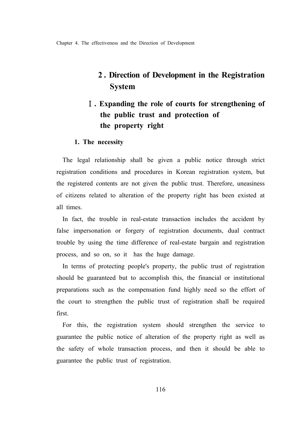# **2 . Direction of Development in the Registration System**

# Ⅰ**. Expanding the role of courts for strengthening of the public trust and protection of the property right**

### **1. The necessity**

The legal relationship shall be given a public notice through strict registration conditions and procedures in Korean registration system, but the registered contents are not given the public trust. Therefore, uneasiness of citizens related to alteration of the property right has been existed at all times.

In fact, the trouble in real-estate transaction includes the accident by false impersonation or forgery of registration documents, dual contract trouble by using the time difference of real-estate bargain and registration process, and so on, so it has the huge damage.

In terms of protecting people's property, the public trust of registration should be guaranteed but to accomplish this, the financial or institutional preparations such as the compensation fund highly need so the effort of the court to strengthen the public trust of registration shall be required first.

For this, the registration system should strengthen the service to guarantee the public notice of alteration of the property right as well as the safety of whole transaction process, and then it should be able to guarantee the public trust of registration.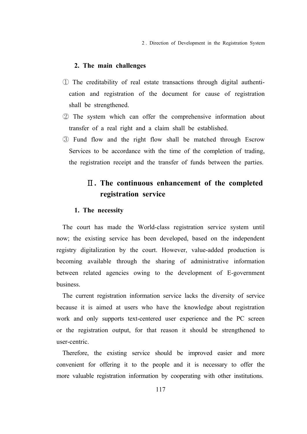2 . Direction of Development in the Registration System

#### **2. The main challenges**

- ① The creditability of real estate transactions through digital authentication and registration of the document for cause of registration shall be strengthened.
- ② The system which can offer the comprehensive information about transfer of a real right and a claim shall be established.
- ③ Fund flow and the right flow shall be matched through Escrow Services to be accordance with the time of the completion of trading, the registration receipt and the transfer of funds between the parties.

# Ⅱ**. The continuous enhancement of the completed registration service**

#### **1. The necessity**

The court has made the World-class registration service system until now; the existing service has been developed, based on the independent registry digitalization by the court. However, value-added production is becoming available through the sharing of administrative information between related agencies owing to the development of E-government business.

The current registration information service lacks the diversity of service because it is aimed at users who have the knowledge about registration work and only supports text-centered user experience and the PC screen or the registration output, for that reason it should be strengthened to user-centric.

Therefore, the existing service should be improved easier and more convenient for offering it to the people and it is necessary to offer the more valuable registration information by cooperating with other institutions.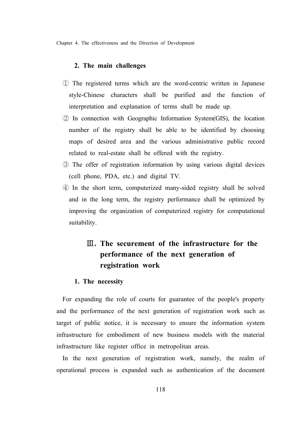### **2. The main challenges**

- ① The registered terms which are the word-centric written in Japanese style-Chinese characters shall be purified and the function of interpretation and explanation of terms shall be made up.
- ② In connection with Geographic Information System(GIS), the location number of the registry shall be able to be identified by choosing maps of desired area and the various administrative public record related to real-estate shall be offered with the registry.
- ③ The offer of registration information by using various digital devices (cell phone, PDA, etc.) and digital TV.
- ④ In the short term, computerized many-sided registry shall be solved and in the long term, the registry performance shall be optimized by improving the organization of computerized registry for computational suitability.

# Ⅲ**. The securement of the infrastructure for the performance of the next generation of registration work**

#### **1. The necessity**

For expanding the role of courts for guarantee of the people's property and the performance of the next generation of registration work such as target of public notice, it is necessary to ensure the information system infrastructure for embodiment of new business models with the material infrastructure like register office in metropolitan areas.

In the next generation of registration work, namely, the realm of operational process is expanded such as authentication of the document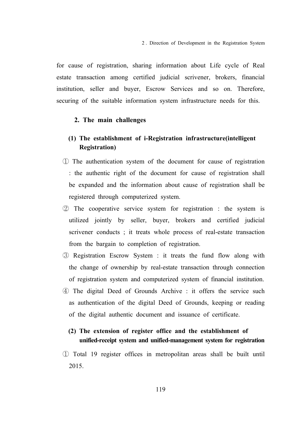for cause of registration, sharing information about Life cycle of Real estate transaction among certified judicial scrivener, brokers, financial institution, seller and buyer, Escrow Services and so on. Therefore, securing of the suitable information system infrastructure needs for this.

### **2. The main challenges**

## **(1) The establishment of i-Registration infrastructure(intelligent Registration)**

- ① The authentication system of the document for cause of registration : the authentic right of the document for cause of registration shall be expanded and the information about cause of registration shall be registered through computerized system.
- ② The cooperative service system for registration : the system is utilized jointly by seller, buyer, brokers and certified judicial scrivener conducts ; it treats whole process of real-estate transaction from the bargain to completion of registration.
- ③ Registration Escrow System : it treats the fund flow along with the change of ownership by real-estate transaction through connection of registration system and computerized system of financial institution.
- ④ The digital Deed of Grounds Archive : it offers the service such as authentication of the digital Deed of Grounds, keeping or reading of the digital authentic document and issuance of certificate.

## **(2) The extension of register office and the establishment of unified-receipt system and unified-management system for registration**

① Total 19 register offices in metropolitan areas shall be built until 2015.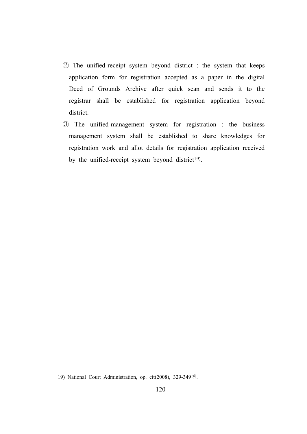- ② The unified-receipt system beyond district : the system that keeps application form for registration accepted as a paper in the digital Deed of Grounds Archive after quick scan and sends it to the registrar shall be established for registration application beyond district.
- ③ The unified-management system for registration : the business management system shall be established to share knowledges for registration work and allot details for registration application received by the unified-receipt system beyond district<sup>19</sup>).

<sup>19)</sup> National Court Administration, op. cit(2008), 329-349면.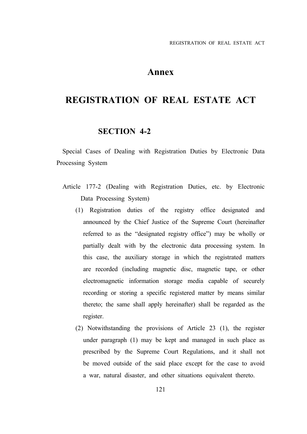## **Annex**

# **REGISTRATION OF REAL ESTATE ACT**

### **SECTION 4-2**

Special Cases of Dealing with Registration Duties by Electronic Data Processing System

- Article 177-2 (Dealing with Registration Duties, etc. by Electronic Data Processing System)
	- (1) Registration duties of the registry office designated and announced by the Chief Justice of the Supreme Court (hereinafter referred to as the "designated registry office") may be wholly or partially dealt with by the electronic data processing system. In this case, the auxiliary storage in which the registrated matters are recorded (including magnetic disc, magnetic tape, or other electromagnetic information storage media capable of securely recording or storing a specific registered matter by means similar thereto; the same shall apply hereinafter) shall be regarded as the register.
	- (2) Notwithstanding the provisions of Article 23 (1), the register under paragraph (1) may be kept and managed in such place as prescribed by the Supreme Court Regulations, and it shall not be moved outside of the said place except for the case to avoid a war, natural disaster, and other situations equivalent thereto.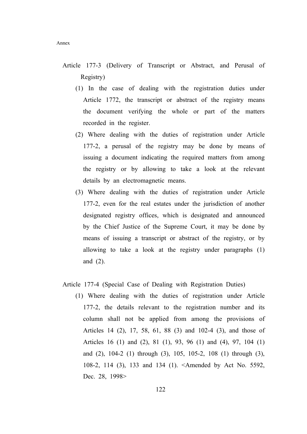- Article 177-3 (Delivery of Transcript or Abstract, and Perusal of Registry)
	- (1) In the case of dealing with the registration duties under Article 1772, the transcript or abstract of the registry means the document verifying the whole or part of the matters recorded in the register.
	- (2) Where dealing with the duties of registration under Article 177-2, a perusal of the registry may be done by means of issuing a document indicating the required matters from among the registry or by allowing to take a look at the relevant details by an electromagnetic means.
	- (3) Where dealing with the duties of registration under Article 177-2, even for the real estates under the jurisdiction of another designated registry offices, which is designated and announced by the Chief Justice of the Supreme Court, it may be done by means of issuing a transcript or abstract of the registry, or by allowing to take a look at the registry under paragraphs (1) and (2).

### Article 177-4 (Special Case of Dealing with Registration Duties)

 (1) Where dealing with the duties of registration under Article 177-2, the details relevant to the registration number and its column shall not be applied from among the provisions of Articles 14 (2), 17, 58, 61, 88 (3) and 102-4 (3), and those of Articles 16 (1) and (2), 81 (1), 93, 96 (1) and (4), 97, 104 (1) and (2), 104-2 (1) through (3), 105, 105-2, 108 (1) through (3), 108-2, 114 (3), 133 and 134 (1). <Amended by Act No. 5592, Dec. 28, 1998>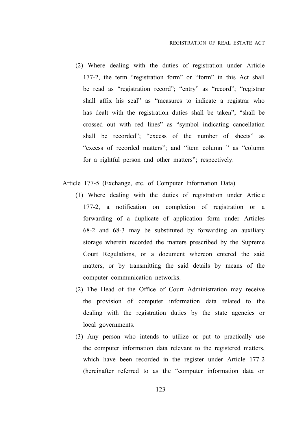(2) Where dealing with the duties of registration under Article 177-2, the term "registration form" or "form" in this Act shall be read as "registration record"; "entry" as "record"; "registrar shall affix his seal" as "measures to indicate a registrar who has dealt with the registration duties shall be taken"; "shall be crossed out with red lines" as "symbol indicating cancellation shall be recorded"; "excess of the number of sheets" as "excess of recorded matters"; and "item column " as "column for a rightful person and other matters"; respectively.

Article 177-5 (Exchange, etc. of Computer Information Data)

- (1) Where dealing with the duties of registration under Article 177-2, a notification on completion of registration or a forwarding of a duplicate of application form under Articles 68-2 and 68-3 may be substituted by forwarding an auxiliary storage wherein recorded the matters prescribed by the Supreme Court Regulations, or a document whereon entered the said matters, or by transmitting the said details by means of the computer communication networks.
- (2) The Head of the Office of Court Administration may receive the provision of computer information data related to the dealing with the registration duties by the state agencies or local governments.
- (3) Any person who intends to utilize or put to practically use the computer information data relevant to the registered matters, which have been recorded in the register under Article 177-2 (hereinafter referred to as the "computer information data on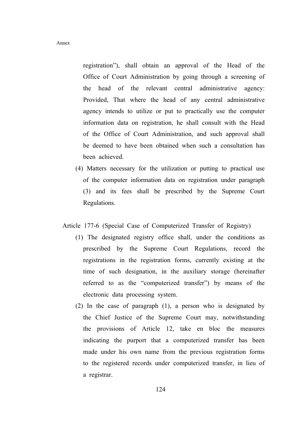registration"), shall obtain an approval of the Head of the Office of Court Administration by going through a screening of the head of the relevant central administrative agency: Provided, That where the head of any central administrative agency intends to utilize or put to practically use the computer information data on registration, he shall consult with the Head of the Office of Court Administration, and such approval shall be deemed to have been obtained when such a consultation has been achieved.

 (4) Matters necessary for the utilization or putting to practical use of the computer information data on registration under paragraph (3) and its fees shall be prescribed by the Supreme Court Regulations.

Article 177-6 (Special Case of Computerized Transfer of Registry)

- (1) The designated registry office shall, under the conditions as prescribed by the Supreme Court Regulations, record the registrations in the registration forms, currently existing at the time of such designation, in the auxiliary storage (hereinafter referred to as the "computerized transfer") by means of the electronic data processing system.
- (2) In the case of paragraph (1), a person who is designated by the Chief Justice of the Supreme Court may, notwithstanding the provisions of Article 12, take en bloc the measures indicating the purport that a computerized transfer has been made under his own name from the previous registration forms to the registered records under computerized transfer, in lieu of a registrar.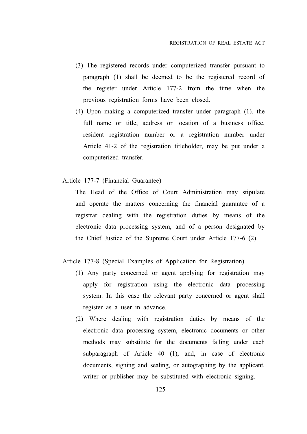- (3) The registered records under computerized transfer pursuant to paragraph (1) shall be deemed to be the registered record of the register under Article 177-2 from the time when the previous registration forms have been closed.
- (4) Upon making a computerized transfer under paragraph (1), the full name or title, address or location of a business office, resident registration number or a registration number under Article 41-2 of the registration titleholder, may be put under a computerized transfer.
- Article 177-7 (Financial Guarantee)

 The Head of the Office of Court Administration may stipulate and operate the matters concerning the financial guarantee of a registrar dealing with the registration duties by means of the electronic data processing system, and of a person designated by the Chief Justice of the Supreme Court under Article 177-6 (2).

### Article 177-8 (Special Examples of Application for Registration)

- (1) Any party concerned or agent applying for registration may apply for registration using the electronic data processing system. In this case the relevant party concerned or agent shall register as a user in advance.
- (2) Where dealing with registration duties by means of the electronic data processing system, electronic documents or other methods may substitute for the documents falling under each subparagraph of Article 40 (1), and, in case of electronic documents, signing and sealing, or autographing by the applicant, writer or publisher may be substituted with electronic signing.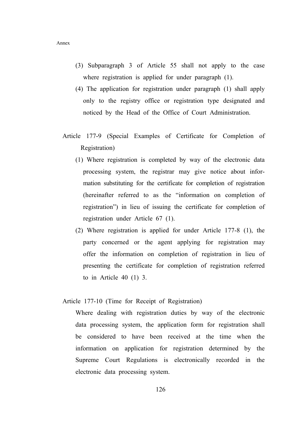- (3) Subparagraph 3 of Article 55 shall not apply to the case where registration is applied for under paragraph (1).
- (4) The application for registration under paragraph (1) shall apply only to the registry office or registration type designated and noticed by the Head of the Office of Court Administration.
- Article 177-9 (Special Examples of Certificate for Completion of Registration)
	- (1) Where registration is completed by way of the electronic data processing system, the registrar may give notice about information substituting for the certificate for completion of registration (hereinafter referred to as the "information on completion of registration") in lieu of issuing the certificate for completion of registration under Article 67 (1).
	- (2) Where registration is applied for under Article 177-8 (1), the party concerned or the agent applying for registration may offer the information on completion of registration in lieu of presenting the certificate for completion of registration referred to in Article 40 (1) 3.

#### Article 177-10 (Time for Receipt of Registration)

 Where dealing with registration duties by way of the electronic data processing system, the application form for registration shall be considered to have been received at the time when the information on application for registration determined by the Supreme Court Regulations is electronically recorded in the electronic data processing system.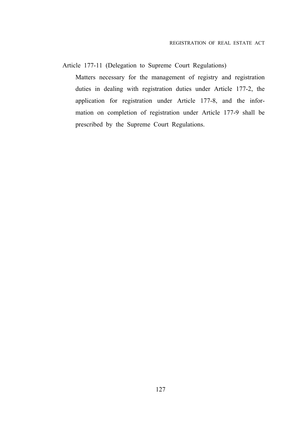Article 177-11 (Delegation to Supreme Court Regulations)

 Matters necessary for the management of registry and registration duties in dealing with registration duties under Article 177-2, the application for registration under Article 177-8, and the information on completion of registration under Article 177-9 shall be prescribed by the Supreme Court Regulations.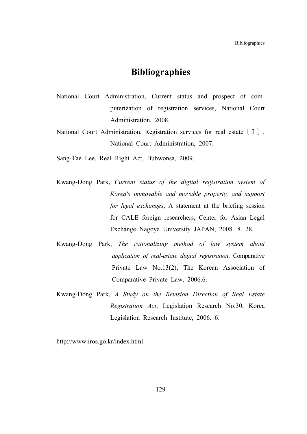## **Bibliographies**

- National Court Administration, Current status and prospect of computerization of registration services, National Court Administration, 2008.
- National Court Administration, Registration services for real estate [I], National Court Administration, 2007.
- Sang-Tae Lee, Real Right Act, Bubwonsa, 2009.
- Kwang-Dong Park, *Current status of the digital registration system of Korea's immovable and movable property, and support for legal exchanges*, A statement at the briefing session for CALE foreign researchers, Center for Asian Legal Exchange Nagoya University JAPAN, 2008. 8. 28.
- Kwang-Dong Park, *The rationalizing method of law system about application of real-estate digital registration*, Comparative Private Law No.13(2), The Korean Association of Comparative Private Law, 2006.6.
- Kwang-Dong Park, *A Study on the Revision Direction of Real Estate Registration Act*, Legislation Research No.30, Korea Legislation Research Institute, 2006. 6.

http://www.iros.go.kr/index.html.